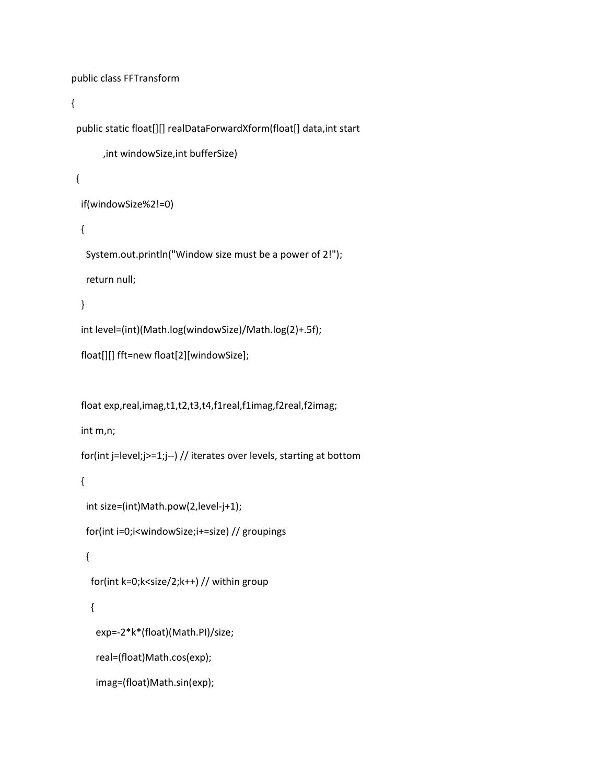```
public class FFTransform
{
 public static float[][] realDataForwardXform(float[] data,int start
        , int windowSize, int bufferSize)
   {
      if(windowSize%2!=0)
      {
         System.out.println("Window size must be a power of 2!");
         return null;
      }
      int level=(int)(Math.log(windowSize)/Math.log(2)+.5f);
      float[][] fft=new float[2][windowSize];
```
float exp,real,imag,t1,t2,t3,t4,f1real,f1imag,f2real,f2imag;

int m,n;

```
    for(int j=level;j>=1;j‐‐) // iterates over levels, starting at bottom
```
{

```
      int size=(int)Math.pow(2,level‐j+1);
```

```
      for(int i=0;i<windowSize;i+=size) // groupings
```
## {

```
        for(int k=0;k<size/2;k++) // within group
```
## {

exp=‐2\*k\*(float)(Math.PI)/size;

```
          real=(float)Math.cos(exp);
```

```
          imag=(float)Math.sin(exp);
```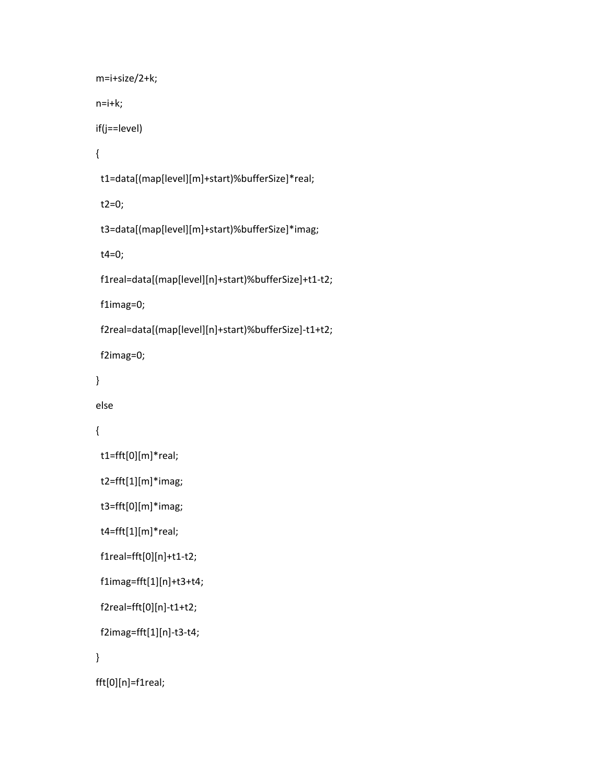```
          m=i+size/2+k;
          n=i+k;
          if(j==level)
          {
             t1=data[(map[level][m]+start)%bufferSize]*real;
              t2=0;
             t3=data[(map[level][m]+start)%bufferSize]*imag;
              t4=0;
              f1real=data[(map[level][n]+start)%bufferSize]+t1‐t2;
              f1imag=0;
              f2real=data[(map[level][n]+start)%bufferSize]‐t1+t2;
             f2imag=0;
          }
          else
          {
             t1=fft[0][m]*real;
             t2=fft[1][m]*imag;
              t3=fft[0][m]*imag;
             t4=fft[1][m]*real;
             f1real=fft[0][n]+t1‐t2;
              f1imag=fft[1][n]+t3+t4;
              f2real=fft[0][n]‐t1+t2;
             f2imag=fft[1][n]‐t3‐t4;
```

```
          }
```

```
          fft[0][n]=f1real;
```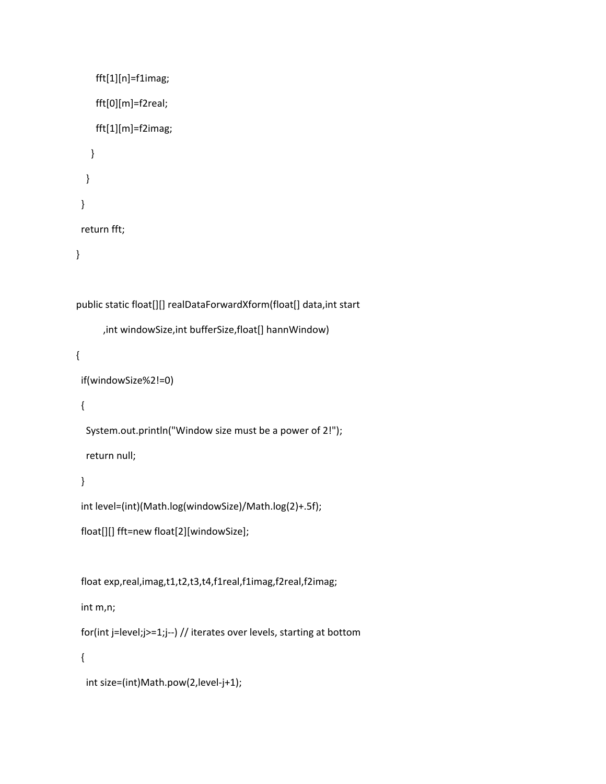```
          fft[1][n]=f1imag;
               fft[0][m]=f2real;
               fft[1][m]=f2imag;
            }
        }
     }
     return fft;
  }
public static float[][] realDataForwardXform(float[] data,int start
                    ,int windowSize,int bufferSize,float[] hannWindow)
  {
     if(windowSize%2!=0)
     {
        System.out.println("Window size must be a power of 2!");
        return null;
     }
     int level=(int)(Math.log(windowSize)/Math.log(2)+.5f);
     float[][] fft=new float[2][windowSize];
     float exp,real,imag,t1,t2,t3,t4,f1real,f1imag,f2real,f2imag;
     int m,n;
     for(int j=level;j>=1;j‐‐) // iterates over levels, starting at bottom
     {
```

```
      int size=(int)Math.pow(2,level‐j+1);
```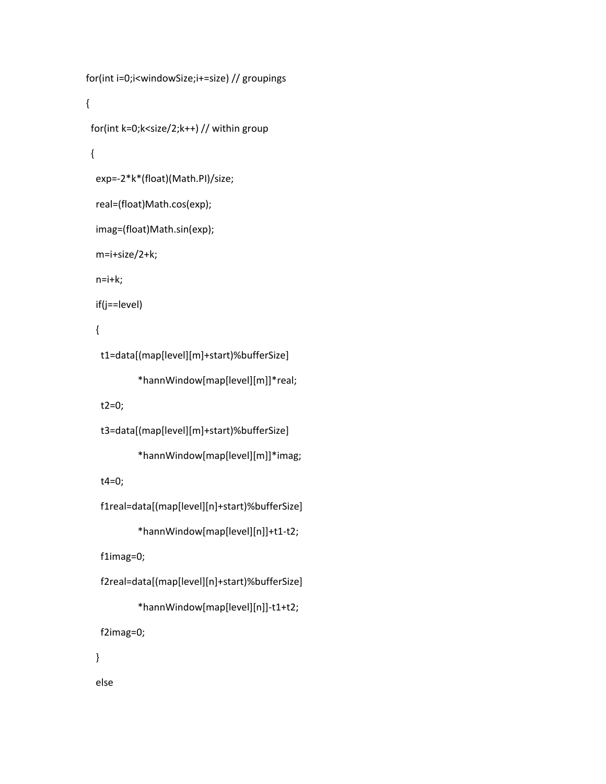```
      for(int i=0;i<windowSize;i+=size) // groupings
      {
         for(int k=0;k<size/2;k++) // within group
         {
             exp=‐2*k*(float)(Math.PI)/size;
             real=(float)Math.cos(exp);
             imag=(float)Math.sin(exp);
             m=i+size/2+k;
             n=i+k;
             if(j==level)
             {
                 t1=data[(map[level][m]+start)%bufferSize]
                                             *hannWindow[map[level][m]]*real;
                 t2=0;
                 t3=data[(map[level][m]+start)%bufferSize]
                                            *hannWindow[map[level][m]]*imag;
                 t4=0;
                 f1real=data[(map[level][n]+start)%bufferSize]
                                            *hannWindow[map[level][n]]+t1‐t2;
                 f1imag=0;
                 f2real=data[(map[level][n]+start)%bufferSize]
                                            *hannWindow[map[level][n]]‐t1+t2;
                 f2imag=0;
             }
```
else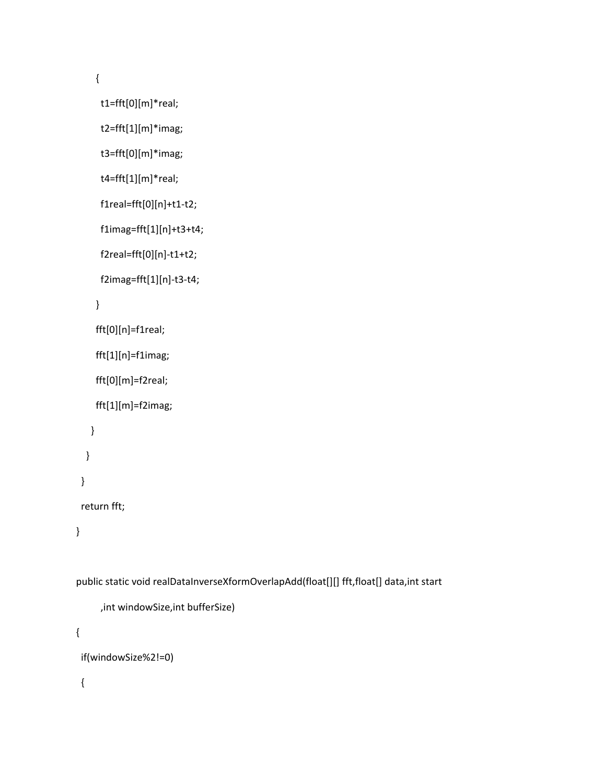{

```
            t1=fft[0][m]*real;
```

```
            t2=fft[1][m]*imag;
```

```
            t3=fft[0][m]*imag;
```
t4=fft[1][m]\*real;

```
            f1real=fft[0][n]+t1‐t2;
```

```
            f1imag=fft[1][n]+t3+t4;
```

```
            f2real=fft[0][n]‐t1+t2;
```
f2imag=fft[1][n]‐t3‐t4;

```
          }
```

```
          fft[0][n]=f1real;
```

```
          fft[1][n]=f1imag;
```

```
          fft[0][m]=f2real;
```

```
          fft[1][m]=f2imag;
```

```
        }
```

```
      }
```
}

## return fft;

}

public static void realDataInverseXformOverlapAdd(float[][] fft,float[] data,int start

```
            ,int windowSize,int bufferSize)
```

```
  {
```

```
    if(windowSize%2!=0)
```
{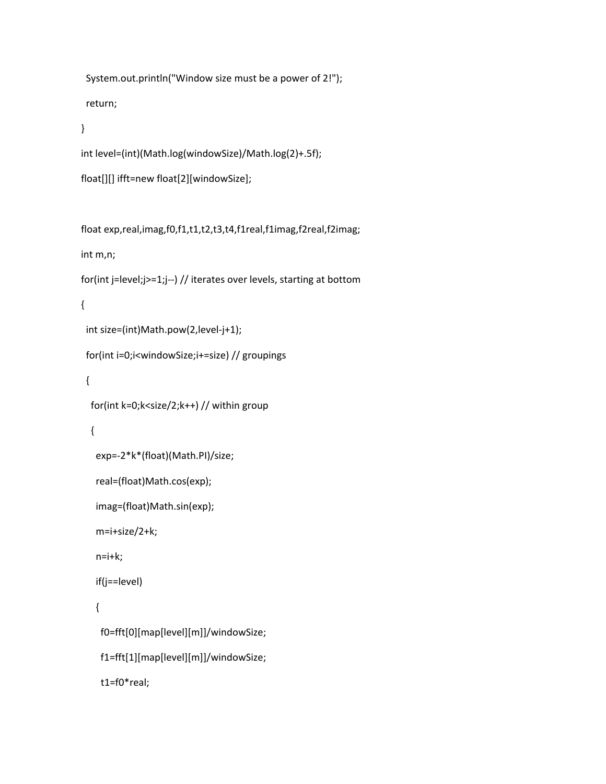System.out.println("Window size must be a power of 2!"); return;

```
    }
```
int level=(int)(Math.log(windowSize)/Math.log(2)+.5f);

```
    float[][] ifft=new float[2][windowSize];
```
 float exp,real,imag,f0,f1,t1,t2,t3,t4,f1real,f1imag,f2real,f2imag; int m,n; for(int j=level;j>=1;j‐‐) // iterates over levels, starting at bottom { int size=(int)Math.pow(2,level‐j+1); for(int i=0;i<windowSize;i+=size) // groupings { for(int k=0;k<size/2;k++) // within group { exp=‐2\*k\*(float)(Math.PI)/size; real=(float)Math.cos(exp); imag=(float)Math.sin(exp); m=i+size/2+k; n=i+k; if(j==level) { f0=fft[0][map[level][m]]/windowSize; f1=fft[1][map[level][m]]/windowSize; t1=f0\*real;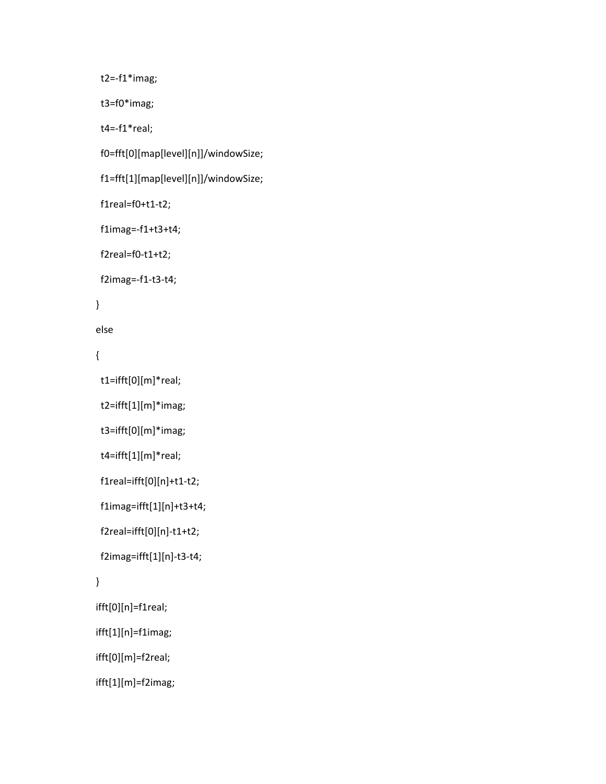```
            t2=‐f1*imag;
             t3=f0*imag;
             t4=‐f1*real;
             f0=fft[0][map[level][n]]/windowSize;
             f1=fft[1][map[level][n]]/windowSize;
             f1real=f0+t1‐t2;
             f1imag=‐f1+t3+t4;
             f2real=f0‐t1+t2;
             f2imag=‐f1‐t3‐t4;
          }
          else
          {
             t1=ifft[0][m]*real;
             t2=ifft[1][m]*imag;
             t3=ifft[0][m]*imag;
             t4=ifft[1][m]*real;
             f1real=ifft[0][n]+t1‐t2;
             f1imag=ifft[1][n]+t3+t4;
             f2real=ifft[0][n]‐t1+t2;
             f2imag=ifft[1][n]‐t3‐t4;
          }
          ifft[0][n]=f1real;
          ifft[1][n]=f1imag;
          ifft[0][m]=f2real;
          ifft[1][m]=f2imag;
```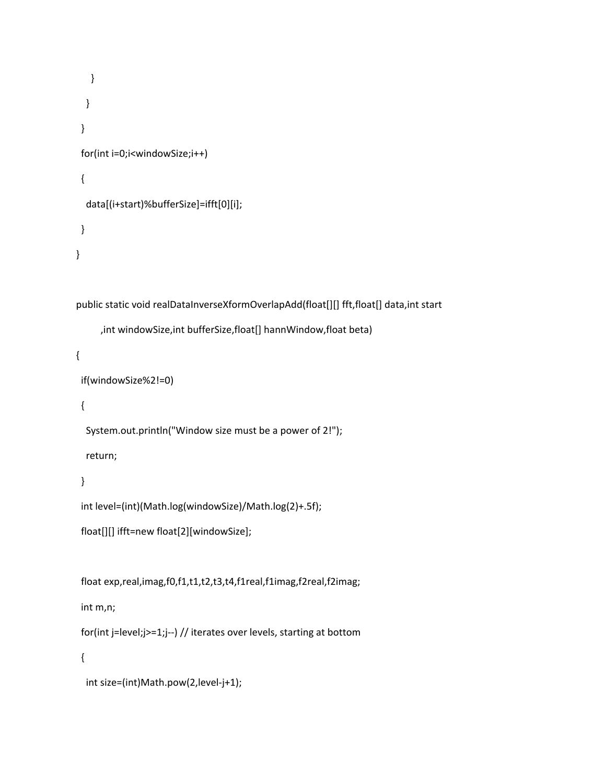```
        }
        }
     }
     for(int i=0;i<windowSize;i++)
     {
        data[(i+start)%bufferSize]=ifft[0][i];
     }
  }
  public static void realDataInverseXformOverlapAdd(float[][] fft,float[] data,int start
                   ,int windowSize,int bufferSize,float[] hannWindow,float beta)
  {
     if(windowSize%2!=0)
     {
        System.out.println("Window size must be a power of 2!");
        return;
     }
     int level=(int)(Math.log(windowSize)/Math.log(2)+.5f);
     float[][] ifft=new float[2][windowSize];
```
float exp,real,imag,f0,f1,t1,t2,t3,t4,f1real,f1imag,f2real,f2imag;

int m,n;

```
    for(int j=level;j>=1;j‐‐) // iterates over levels, starting at bottom
```
{

```
      int size=(int)Math.pow(2,level‐j+1);
```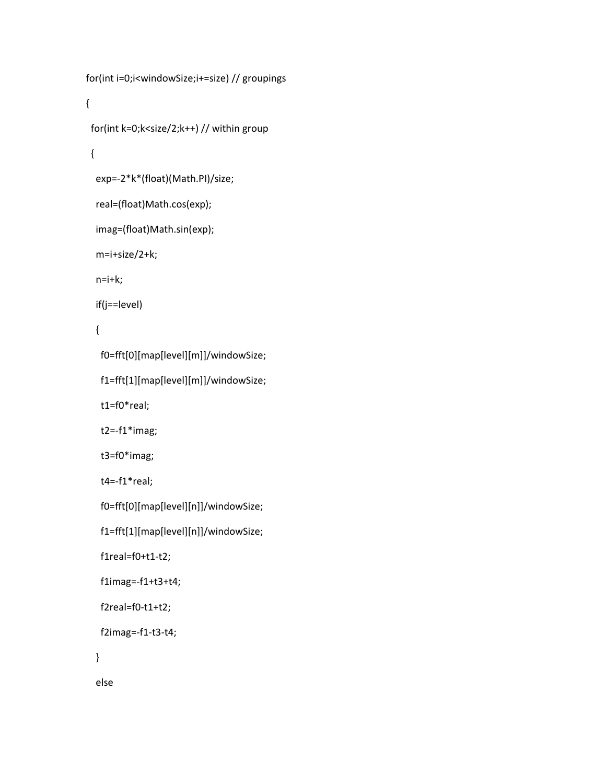```
      for(int i=0;i<windowSize;i+=size) // groupings
      {
         for(int k=0;k<size/2;k++) // within group
         {
             exp=‐2*k*(float)(Math.PI)/size;
             real=(float)Math.cos(exp);
             imag=(float)Math.sin(exp);
             m=i+size/2+k;
             n=i+k;
             if(j==level)
             {
                 f0=fft[0][map[level][m]]/windowSize;
                f1=fft[1][map[level][m]]/windowSize;
                t1=f0*real;
    t2 = -f1*image;            t3=f0*imag;
                 t4=‐f1*real;
                f0=fft[0][map[level][n]]/windowSize;
                f1=fft[1][map[level][n]]/windowSize;
                 f1real=f0+t1‐t2;
                 f1imag=‐f1+t3+t4;
                 f2real=f0‐t1+t2;
                f2imag=‐f1‐t3‐t4;
             }
```

```
          else
```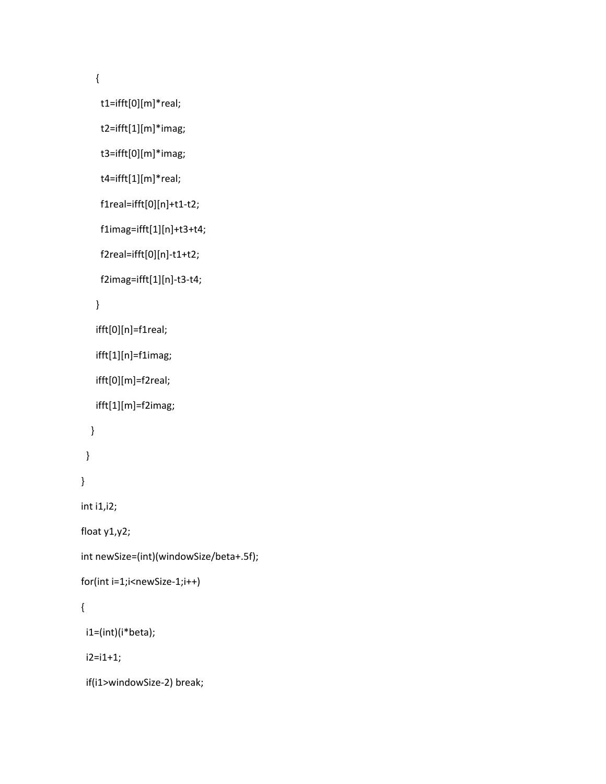{

```
            t1=ifft[0][m]*real;
```

```
            t2=ifft[1][m]*imag;
```

```
            t3=ifft[0][m]*imag;
```

```
            t4=ifft[1][m]*real;
```

```
            f1real=ifft[0][n]+t1‐t2;
```

```
            f1imag=ifft[1][n]+t3+t4;
```

```
            f2real=ifft[0][n]‐t1+t2;
```

```
            f2imag=ifft[1][n]‐t3‐t4;
```

```
          }
```

```
          ifft[0][n]=f1real;
```

```
          ifft[1][n]=f1imag;
```

```
          ifft[0][m]=f2real;
```

```
          ifft[1][m]=f2imag;
```

```
        }
```

```
      }
```

```
    }
```

```
    int i1,i2;
```

```
    float y1,y2;
```

```
    int newSize=(int)(windowSize/beta+.5f);
```

```
    for(int i=1;i<newSize‐1;i++)
```

```
    {
```

```
      i1=(int)(i*beta);
```
i2=i1+1;

```
      if(i1>windowSize‐2) break;
```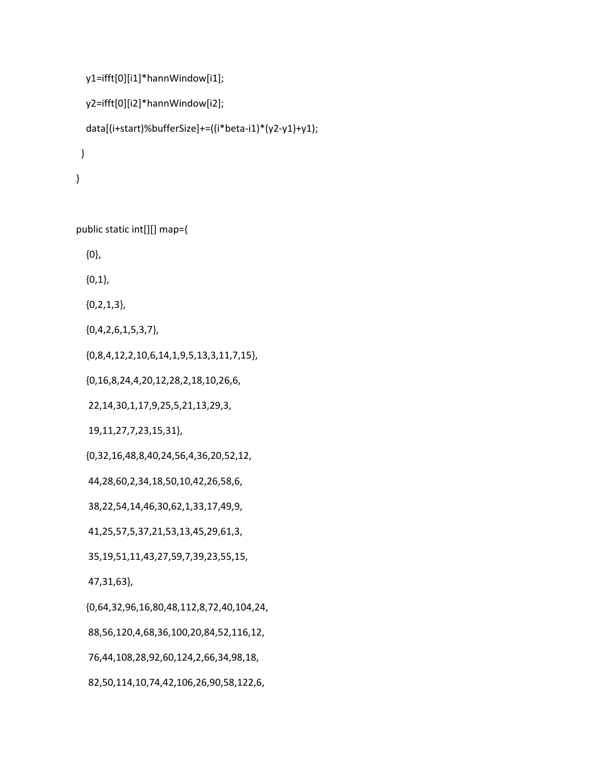```
      y1=ifft[0][i1]*hannWindow[i1];
        y2=ifft[0][i2]*hannWindow[i2];
        data[(i+start)%bufferSize]+=((i*beta‐i1)*(y2‐y1)+y1);
     }
  }
```
public static int[][] map={

{0},

{0,1},

{0,2,1,3},

{0,4,2,6,1,5,3,7},

{0,8,4,12,2,10,6,14,1,9,5,13,3,11,7,15},

{0,16,8,24,4,20,12,28,2,18,10,26,6,

22,14,30,1,17,9,25,5,21,13,29,3,

19,11,27,7,23,15,31},

{0,32,16,48,8,40,24,56,4,36,20,52,12,

44,28,60,2,34,18,50,10,42,26,58,6,

38,22,54,14,46,30,62,1,33,17,49,9,

41,25,57,5,37,21,53,13,45,29,61,3,

35,19,51,11,43,27,59,7,39,23,55,15,

47,31,63},

{0,64,32,96,16,80,48,112,8,72,40,104,24,

88,56,120,4,68,36,100,20,84,52,116,12,

76,44,108,28,92,60,124,2,66,34,98,18,

82,50,114,10,74,42,106,26,90,58,122,6,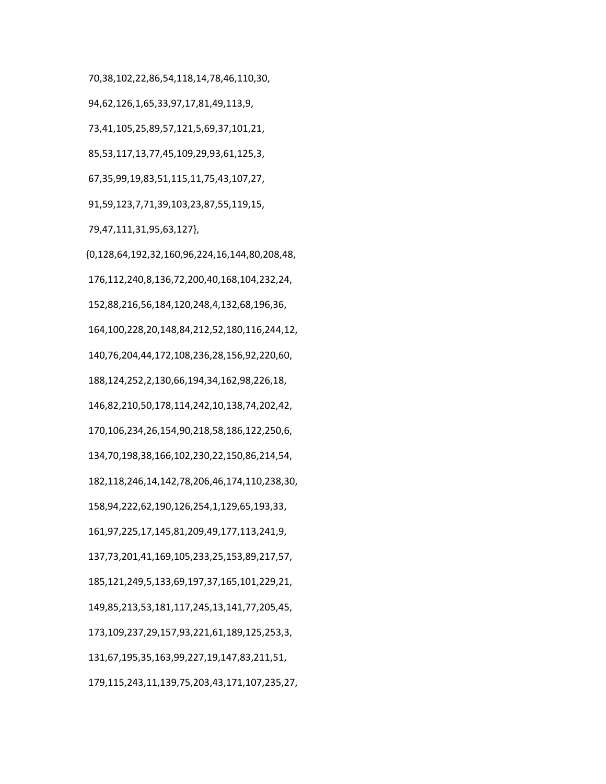70,38,102,22,86,54,118,14,78,46,110,30, 94,62,126,1,65,33,97,17,81,49,113,9, 73,41,105,25,89,57,121,5,69,37,101,21, 85,53,117,13,77,45,109,29,93,61,125,3, 67,35,99,19,83,51,115,11,75,43,107,27, 91,59,123,7,71,39,103,23,87,55,119,15, 79,47,111,31,95,63,127}, {0,128,64,192,32,160,96,224,16,144,80,208,48, 176,112,240,8,136,72,200,40,168,104,232,24, 152,88,216,56,184,120,248,4,132,68,196,36, 164,100,228,20,148,84,212,52,180,116,244,12, 140,76,204,44,172,108,236,28,156,92,220,60, 188,124,252,2,130,66,194,34,162,98,226,18, 146,82,210,50,178,114,242,10,138,74,202,42, 170,106,234,26,154,90,218,58,186,122,250,6, 134,70,198,38,166,102,230,22,150,86,214,54, 182,118,246,14,142,78,206,46,174,110,238,30, 158,94,222,62,190,126,254,1,129,65,193,33, 161,97,225,17,145,81,209,49,177,113,241,9, 137,73,201,41,169,105,233,25,153,89,217,57, 185,121,249,5,133,69,197,37,165,101,229,21, 149,85,213,53,181,117,245,13,141,77,205,45, 173,109,237,29,157,93,221,61,189,125,253,3, 131,67,195,35,163,99,227,19,147,83,211,51, 179,115,243,11,139,75,203,43,171,107,235,27,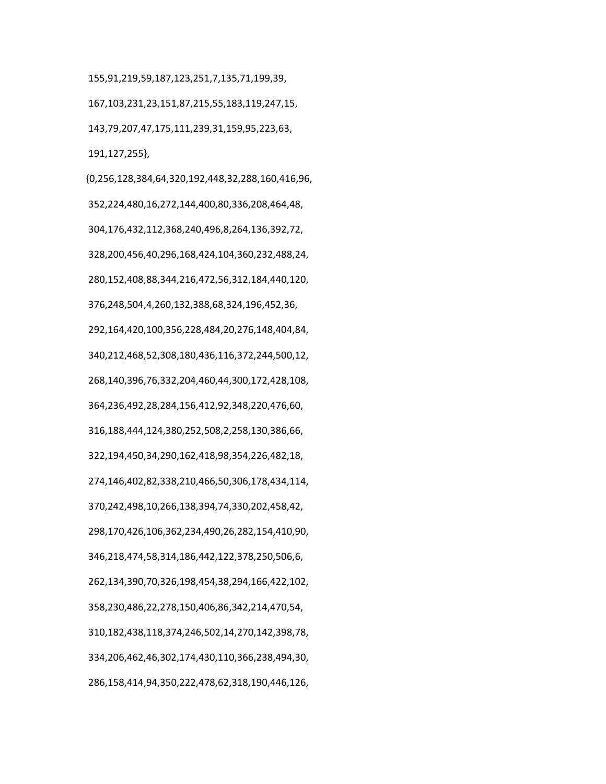155,91,219,59,187,123,251,7,135,71,199,39, 167,103,231,23,151,87,215,55,183,119,247,15, 143,79,207,47,175,111,239,31,159,95,223,63, 191,127,255},

 {0,256,128,384,64,320,192,448,32,288,160,416,96, 352,224,480,16,272,144,400,80,336,208,464,48, 304,176,432,112,368,240,496,8,264,136,392,72, 328,200,456,40,296,168,424,104,360,232,488,24, 280,152,408,88,344,216,472,56,312,184,440,120, 376,248,504,4,260,132,388,68,324,196,452,36, 292,164,420,100,356,228,484,20,276,148,404,84, 340,212,468,52,308,180,436,116,372,244,500,12, 268,140,396,76,332,204,460,44,300,172,428,108, 364,236,492,28,284,156,412,92,348,220,476,60, 316,188,444,124,380,252,508,2,258,130,386,66, 322,194,450,34,290,162,418,98,354,226,482,18, 274,146,402,82,338,210,466,50,306,178,434,114, 370,242,498,10,266,138,394,74,330,202,458,42, 298,170,426,106,362,234,490,26,282,154,410,90, 346,218,474,58,314,186,442,122,378,250,506,6, 262,134,390,70,326,198,454,38,294,166,422,102, 358,230,486,22,278,150,406,86,342,214,470,54, 310,182,438,118,374,246,502,14,270,142,398,78, 334,206,462,46,302,174,430,110,366,238,494,30, 286,158,414,94,350,222,478,62,318,190,446,126,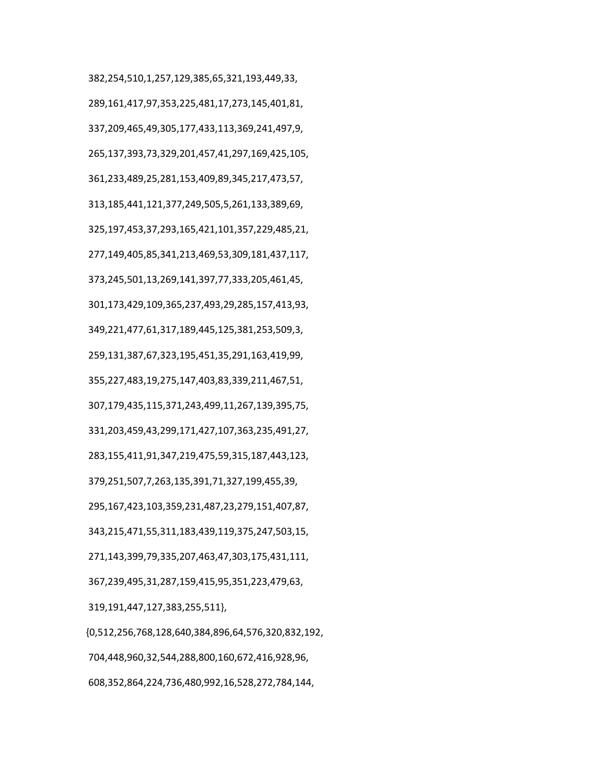382,254,510,1,257,129,385,65,321,193,449,33, 289,161,417,97,353,225,481,17,273,145,401,81, 337,209,465,49,305,177,433,113,369,241,497,9, 265,137,393,73,329,201,457,41,297,169,425,105, 361,233,489,25,281,153,409,89,345,217,473,57, 313,185,441,121,377,249,505,5,261,133,389,69, 325,197,453,37,293,165,421,101,357,229,485,21, 277,149,405,85,341,213,469,53,309,181,437,117, 373,245,501,13,269,141,397,77,333,205,461,45, 301,173,429,109,365,237,493,29,285,157,413,93, 349,221,477,61,317,189,445,125,381,253,509,3, 259,131,387,67,323,195,451,35,291,163,419,99, 355,227,483,19,275,147,403,83,339,211,467,51, 307,179,435,115,371,243,499,11,267,139,395,75, 331,203,459,43,299,171,427,107,363,235,491,27, 283,155,411,91,347,219,475,59,315,187,443,123, 379,251,507,7,263,135,391,71,327,199,455,39, 295,167,423,103,359,231,487,23,279,151,407,87, 343,215,471,55,311,183,439,119,375,247,503,15, 271,143,399,79,335,207,463,47,303,175,431,111, 367,239,495,31,287,159,415,95,351,223,479,63, 319,191,447,127,383,255,511}, {0,512,256,768,128,640,384,896,64,576,320,832,192, 704,448,960,32,544,288,800,160,672,416,928,96,

608,352,864,224,736,480,992,16,528,272,784,144,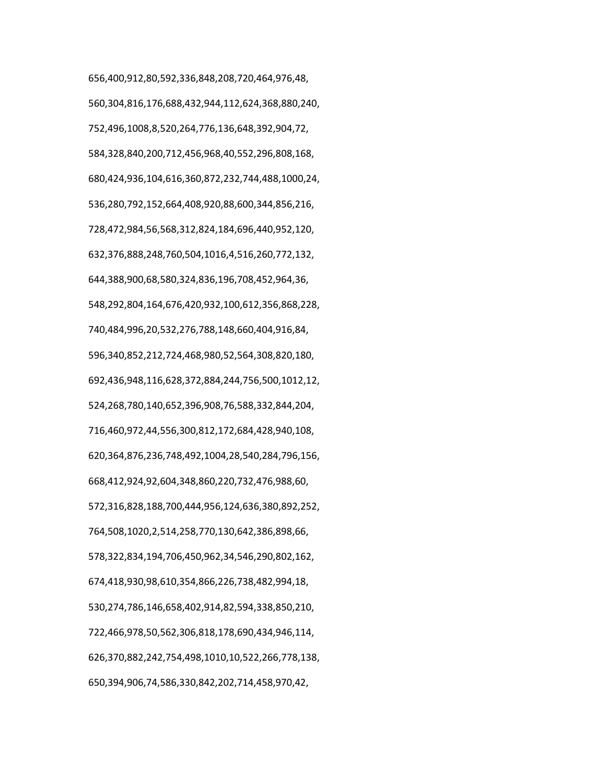656,400,912,80,592,336,848,208,720,464,976,48, 560,304,816,176,688,432,944,112,624,368,880,240, 752,496,1008,8,520,264,776,136,648,392,904,72, 584,328,840,200,712,456,968,40,552,296,808,168, 680,424,936,104,616,360,872,232,744,488,1000,24, 536,280,792,152,664,408,920,88,600,344,856,216, 728,472,984,56,568,312,824,184,696,440,952,120, 632,376,888,248,760,504,1016,4,516,260,772,132, 644,388,900,68,580,324,836,196,708,452,964,36, 548,292,804,164,676,420,932,100,612,356,868,228, 740,484,996,20,532,276,788,148,660,404,916,84, 596,340,852,212,724,468,980,52,564,308,820,180, 692,436,948,116,628,372,884,244,756,500,1012,12, 524,268,780,140,652,396,908,76,588,332,844,204, 716,460,972,44,556,300,812,172,684,428,940,108, 620,364,876,236,748,492,1004,28,540,284,796,156, 668,412,924,92,604,348,860,220,732,476,988,60, 572,316,828,188,700,444,956,124,636,380,892,252, 764,508,1020,2,514,258,770,130,642,386,898,66, 578,322,834,194,706,450,962,34,546,290,802,162, 674,418,930,98,610,354,866,226,738,482,994,18, 530,274,786,146,658,402,914,82,594,338,850,210, 722,466,978,50,562,306,818,178,690,434,946,114, 626,370,882,242,754,498,1010,10,522,266,778,138, 650,394,906,74,586,330,842,202,714,458,970,42,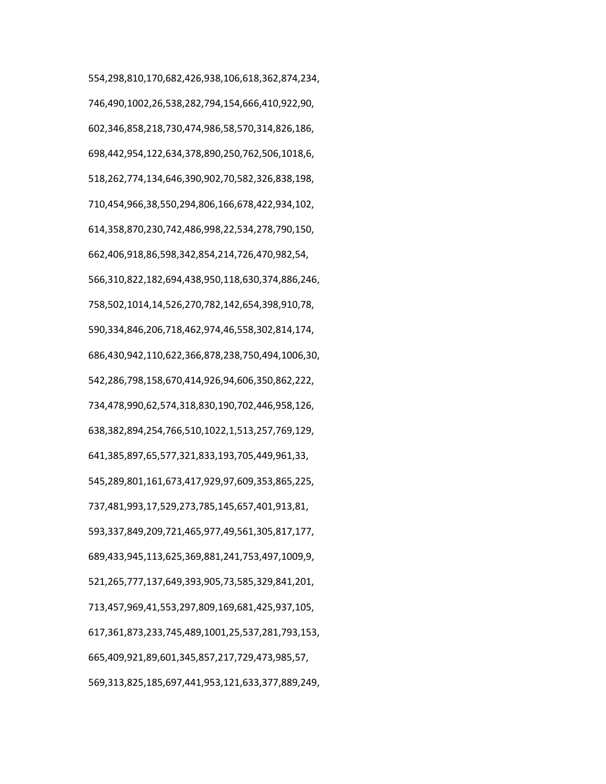554,298,810,170,682,426,938,106,618,362,874,234, 746,490,1002,26,538,282,794,154,666,410,922,90, 602,346,858,218,730,474,986,58,570,314,826,186, 698,442,954,122,634,378,890,250,762,506,1018,6, 518,262,774,134,646,390,902,70,582,326,838,198, 710,454,966,38,550,294,806,166,678,422,934,102, 614,358,870,230,742,486,998,22,534,278,790,150, 662,406,918,86,598,342,854,214,726,470,982,54, 566,310,822,182,694,438,950,118,630,374,886,246, 758,502,1014,14,526,270,782,142,654,398,910,78, 590,334,846,206,718,462,974,46,558,302,814,174, 686,430,942,110,622,366,878,238,750,494,1006,30, 542,286,798,158,670,414,926,94,606,350,862,222, 734,478,990,62,574,318,830,190,702,446,958,126, 638,382,894,254,766,510,1022,1,513,257,769,129, 641,385,897,65,577,321,833,193,705,449,961,33, 545,289,801,161,673,417,929,97,609,353,865,225, 737,481,993,17,529,273,785,145,657,401,913,81, 593,337,849,209,721,465,977,49,561,305,817,177, 689,433,945,113,625,369,881,241,753,497,1009,9, 521,265,777,137,649,393,905,73,585,329,841,201, 713,457,969,41,553,297,809,169,681,425,937,105, 617,361,873,233,745,489,1001,25,537,281,793,153, 665,409,921,89,601,345,857,217,729,473,985,57, 569,313,825,185,697,441,953,121,633,377,889,249,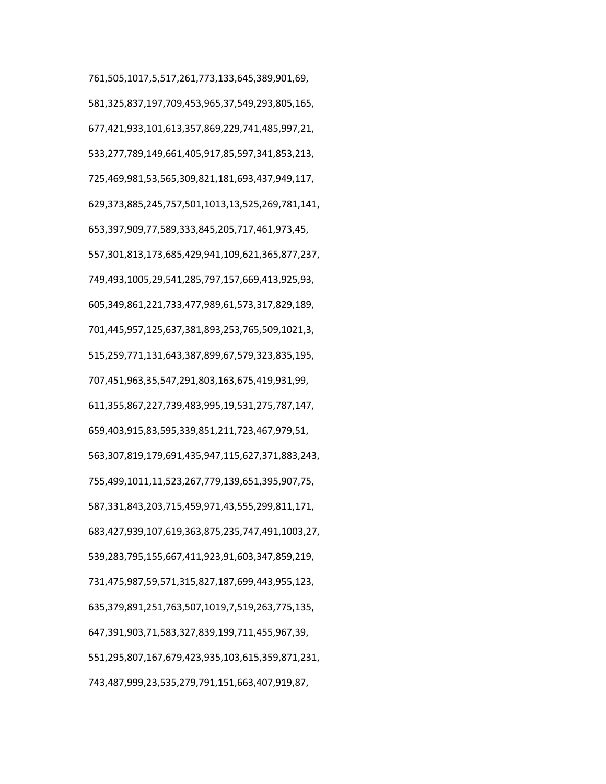761,505,1017,5,517,261,773,133,645,389,901,69, 581,325,837,197,709,453,965,37,549,293,805,165, 677,421,933,101,613,357,869,229,741,485,997,21, 533,277,789,149,661,405,917,85,597,341,853,213, 725,469,981,53,565,309,821,181,693,437,949,117, 629,373,885,245,757,501,1013,13,525,269,781,141, 653,397,909,77,589,333,845,205,717,461,973,45, 557,301,813,173,685,429,941,109,621,365,877,237, 749,493,1005,29,541,285,797,157,669,413,925,93, 605,349,861,221,733,477,989,61,573,317,829,189, 701,445,957,125,637,381,893,253,765,509,1021,3, 515,259,771,131,643,387,899,67,579,323,835,195, 707,451,963,35,547,291,803,163,675,419,931,99, 611,355,867,227,739,483,995,19,531,275,787,147, 659,403,915,83,595,339,851,211,723,467,979,51, 563,307,819,179,691,435,947,115,627,371,883,243, 755,499,1011,11,523,267,779,139,651,395,907,75, 587,331,843,203,715,459,971,43,555,299,811,171, 683,427,939,107,619,363,875,235,747,491,1003,27, 539,283,795,155,667,411,923,91,603,347,859,219, 731,475,987,59,571,315,827,187,699,443,955,123, 635,379,891,251,763,507,1019,7,519,263,775,135, 647,391,903,71,583,327,839,199,711,455,967,39, 551,295,807,167,679,423,935,103,615,359,871,231, 743,487,999,23,535,279,791,151,663,407,919,87,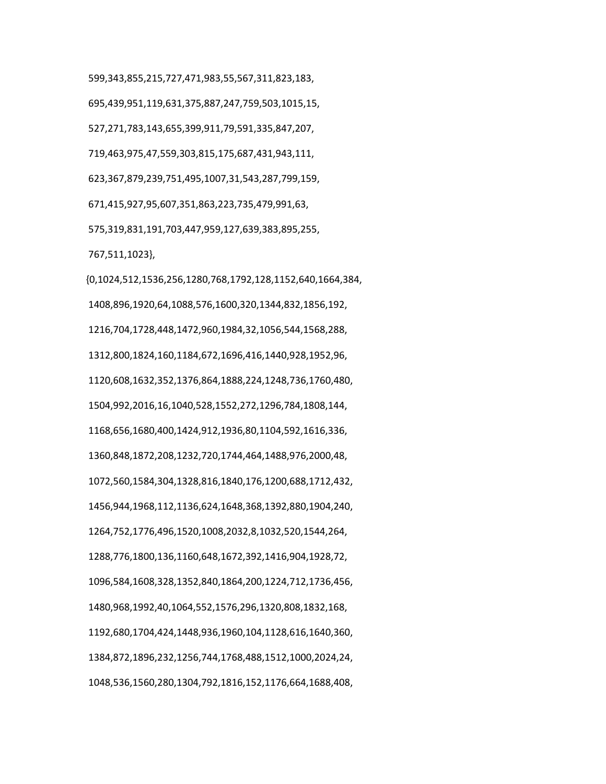599,343,855,215,727,471,983,55,567,311,823,183, 695,439,951,119,631,375,887,247,759,503,1015,15, 527,271,783,143,655,399,911,79,591,335,847,207, 719,463,975,47,559,303,815,175,687,431,943,111, 623,367,879,239,751,495,1007,31,543,287,799,159, 671,415,927,95,607,351,863,223,735,479,991,63, 575,319,831,191,703,447,959,127,639,383,895,255, 767,511,1023}, {0,1024,512,1536,256,1280,768,1792,128,1152,640,1664,384,

 1408,896,1920,64,1088,576,1600,320,1344,832,1856,192, 1216,704,1728,448,1472,960,1984,32,1056,544,1568,288, 1312,800,1824,160,1184,672,1696,416,1440,928,1952,96, 1120,608,1632,352,1376,864,1888,224,1248,736,1760,480, 1504,992,2016,16,1040,528,1552,272,1296,784,1808,144, 1168,656,1680,400,1424,912,1936,80,1104,592,1616,336, 1360,848,1872,208,1232,720,1744,464,1488,976,2000,48, 1072,560,1584,304,1328,816,1840,176,1200,688,1712,432, 1456,944,1968,112,1136,624,1648,368,1392,880,1904,240, 1264,752,1776,496,1520,1008,2032,8,1032,520,1544,264, 1288,776,1800,136,1160,648,1672,392,1416,904,1928,72, 1096,584,1608,328,1352,840,1864,200,1224,712,1736,456, 1480,968,1992,40,1064,552,1576,296,1320,808,1832,168, 1192,680,1704,424,1448,936,1960,104,1128,616,1640,360, 1384,872,1896,232,1256,744,1768,488,1512,1000,2024,24, 1048,536,1560,280,1304,792,1816,152,1176,664,1688,408,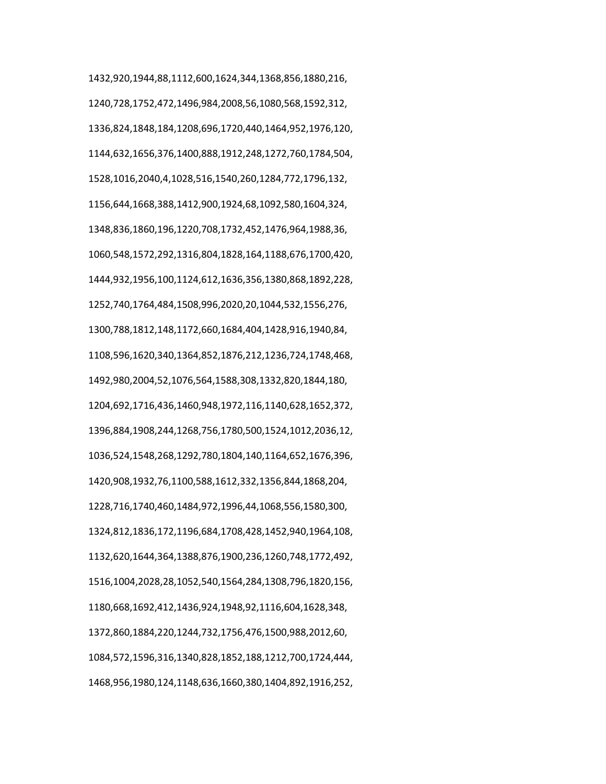1432,920,1944,88,1112,600,1624,344,1368,856,1880,216, 1240,728,1752,472,1496,984,2008,56,1080,568,1592,312, 1336,824,1848,184,1208,696,1720,440,1464,952,1976,120, 1144,632,1656,376,1400,888,1912,248,1272,760,1784,504, 1528,1016,2040,4,1028,516,1540,260,1284,772,1796,132, 1156,644,1668,388,1412,900,1924,68,1092,580,1604,324, 1348,836,1860,196,1220,708,1732,452,1476,964,1988,36, 1060,548,1572,292,1316,804,1828,164,1188,676,1700,420, 1444,932,1956,100,1124,612,1636,356,1380,868,1892,228, 1252,740,1764,484,1508,996,2020,20,1044,532,1556,276, 1300,788,1812,148,1172,660,1684,404,1428,916,1940,84, 1108,596,1620,340,1364,852,1876,212,1236,724,1748,468, 1492,980,2004,52,1076,564,1588,308,1332,820,1844,180, 1204,692,1716,436,1460,948,1972,116,1140,628,1652,372, 1396,884,1908,244,1268,756,1780,500,1524,1012,2036,12, 1036,524,1548,268,1292,780,1804,140,1164,652,1676,396, 1420,908,1932,76,1100,588,1612,332,1356,844,1868,204, 1228,716,1740,460,1484,972,1996,44,1068,556,1580,300, 1324,812,1836,172,1196,684,1708,428,1452,940,1964,108, 1132,620,1644,364,1388,876,1900,236,1260,748,1772,492, 1516,1004,2028,28,1052,540,1564,284,1308,796,1820,156, 1180,668,1692,412,1436,924,1948,92,1116,604,1628,348, 1372,860,1884,220,1244,732,1756,476,1500,988,2012,60, 1084,572,1596,316,1340,828,1852,188,1212,700,1724,444, 1468,956,1980,124,1148,636,1660,380,1404,892,1916,252,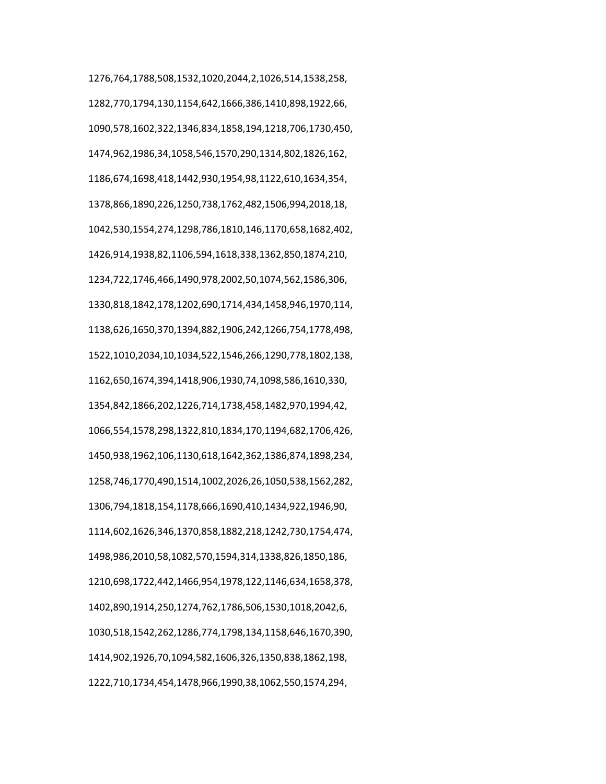1276,764,1788,508,1532,1020,2044,2,1026,514,1538,258, 1282,770,1794,130,1154,642,1666,386,1410,898,1922,66, 1090,578,1602,322,1346,834,1858,194,1218,706,1730,450, 1474,962,1986,34,1058,546,1570,290,1314,802,1826,162, 1186,674,1698,418,1442,930,1954,98,1122,610,1634,354, 1378,866,1890,226,1250,738,1762,482,1506,994,2018,18, 1042,530,1554,274,1298,786,1810,146,1170,658,1682,402, 1426,914,1938,82,1106,594,1618,338,1362,850,1874,210, 1234,722,1746,466,1490,978,2002,50,1074,562,1586,306, 1330,818,1842,178,1202,690,1714,434,1458,946,1970,114, 1138,626,1650,370,1394,882,1906,242,1266,754,1778,498, 1522,1010,2034,10,1034,522,1546,266,1290,778,1802,138, 1162,650,1674,394,1418,906,1930,74,1098,586,1610,330, 1354,842,1866,202,1226,714,1738,458,1482,970,1994,42, 1066,554,1578,298,1322,810,1834,170,1194,682,1706,426, 1450,938,1962,106,1130,618,1642,362,1386,874,1898,234, 1258,746,1770,490,1514,1002,2026,26,1050,538,1562,282, 1306,794,1818,154,1178,666,1690,410,1434,922,1946,90, 1114,602,1626,346,1370,858,1882,218,1242,730,1754,474, 1498,986,2010,58,1082,570,1594,314,1338,826,1850,186, 1210,698,1722,442,1466,954,1978,122,1146,634,1658,378, 1402,890,1914,250,1274,762,1786,506,1530,1018,2042,6, 1030,518,1542,262,1286,774,1798,134,1158,646,1670,390, 1414,902,1926,70,1094,582,1606,326,1350,838,1862,198, 1222,710,1734,454,1478,966,1990,38,1062,550,1574,294,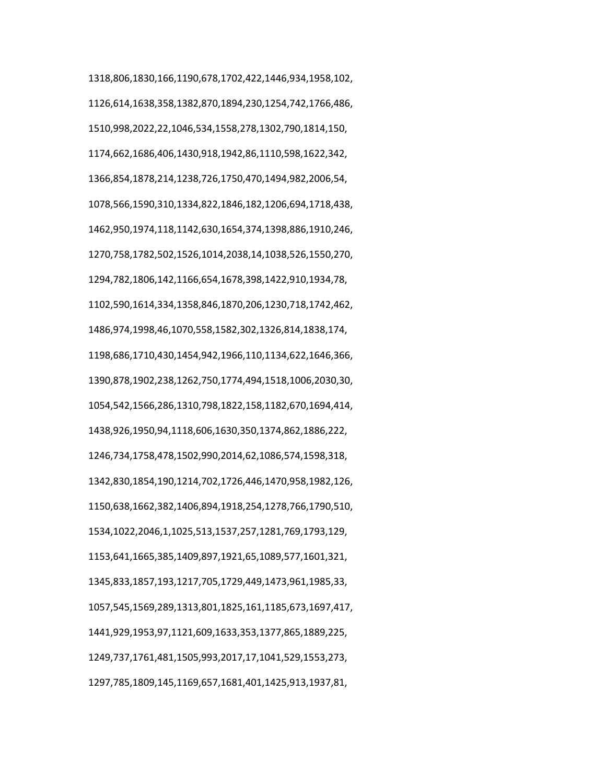1318,806,1830,166,1190,678,1702,422,1446,934,1958,102, 1126,614,1638,358,1382,870,1894,230,1254,742,1766,486, 1510,998,2022,22,1046,534,1558,278,1302,790,1814,150, 1174,662,1686,406,1430,918,1942,86,1110,598,1622,342, 1366,854,1878,214,1238,726,1750,470,1494,982,2006,54, 1078,566,1590,310,1334,822,1846,182,1206,694,1718,438, 1462,950,1974,118,1142,630,1654,374,1398,886,1910,246, 1270,758,1782,502,1526,1014,2038,14,1038,526,1550,270, 1294,782,1806,142,1166,654,1678,398,1422,910,1934,78, 1102,590,1614,334,1358,846,1870,206,1230,718,1742,462, 1486,974,1998,46,1070,558,1582,302,1326,814,1838,174, 1198,686,1710,430,1454,942,1966,110,1134,622,1646,366, 1390,878,1902,238,1262,750,1774,494,1518,1006,2030,30, 1054,542,1566,286,1310,798,1822,158,1182,670,1694,414, 1438,926,1950,94,1118,606,1630,350,1374,862,1886,222, 1246,734,1758,478,1502,990,2014,62,1086,574,1598,318, 1342,830,1854,190,1214,702,1726,446,1470,958,1982,126, 1150,638,1662,382,1406,894,1918,254,1278,766,1790,510, 1534,1022,2046,1,1025,513,1537,257,1281,769,1793,129, 1153,641,1665,385,1409,897,1921,65,1089,577,1601,321, 1345,833,1857,193,1217,705,1729,449,1473,961,1985,33, 1057,545,1569,289,1313,801,1825,161,1185,673,1697,417, 1441,929,1953,97,1121,609,1633,353,1377,865,1889,225, 1249,737,1761,481,1505,993,2017,17,1041,529,1553,273, 1297,785,1809,145,1169,657,1681,401,1425,913,1937,81,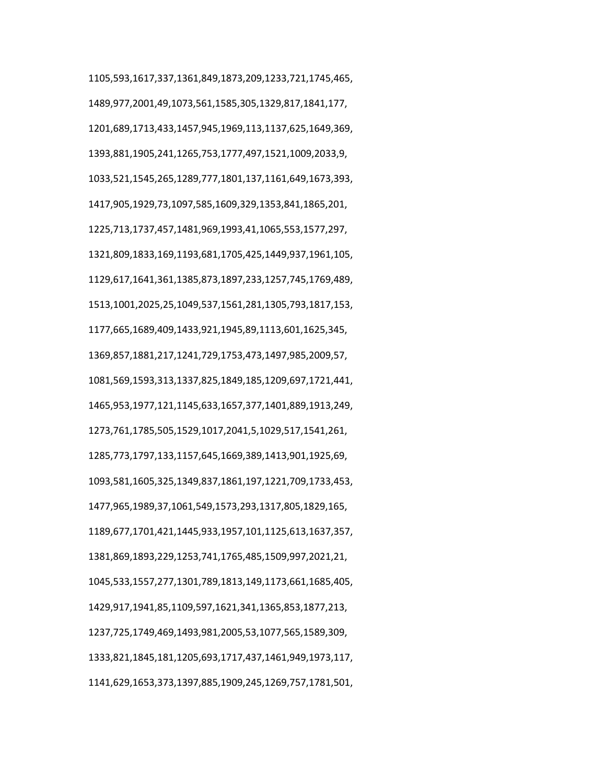1105,593,1617,337,1361,849,1873,209,1233,721,1745,465, 1489,977,2001,49,1073,561,1585,305,1329,817,1841,177, 1201,689,1713,433,1457,945,1969,113,1137,625,1649,369, 1393,881,1905,241,1265,753,1777,497,1521,1009,2033,9, 1033,521,1545,265,1289,777,1801,137,1161,649,1673,393, 1417,905,1929,73,1097,585,1609,329,1353,841,1865,201, 1225,713,1737,457,1481,969,1993,41,1065,553,1577,297, 1321,809,1833,169,1193,681,1705,425,1449,937,1961,105, 1129,617,1641,361,1385,873,1897,233,1257,745,1769,489, 1513,1001,2025,25,1049,537,1561,281,1305,793,1817,153, 1177,665,1689,409,1433,921,1945,89,1113,601,1625,345, 1369,857,1881,217,1241,729,1753,473,1497,985,2009,57, 1081,569,1593,313,1337,825,1849,185,1209,697,1721,441, 1465,953,1977,121,1145,633,1657,377,1401,889,1913,249, 1273,761,1785,505,1529,1017,2041,5,1029,517,1541,261, 1285,773,1797,133,1157,645,1669,389,1413,901,1925,69, 1093,581,1605,325,1349,837,1861,197,1221,709,1733,453, 1477,965,1989,37,1061,549,1573,293,1317,805,1829,165, 1189,677,1701,421,1445,933,1957,101,1125,613,1637,357, 1381,869,1893,229,1253,741,1765,485,1509,997,2021,21, 1045,533,1557,277,1301,789,1813,149,1173,661,1685,405, 1429,917,1941,85,1109,597,1621,341,1365,853,1877,213, 1237,725,1749,469,1493,981,2005,53,1077,565,1589,309, 1333,821,1845,181,1205,693,1717,437,1461,949,1973,117, 1141,629,1653,373,1397,885,1909,245,1269,757,1781,501,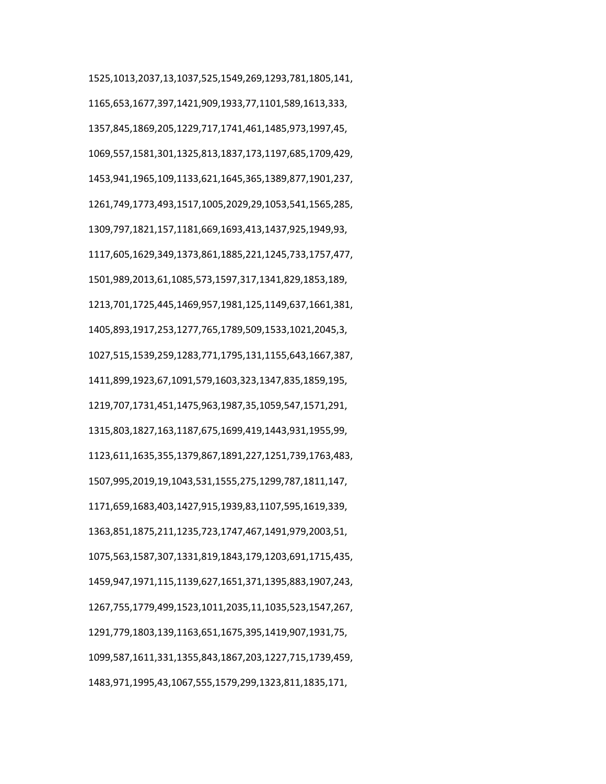1525,1013,2037,13,1037,525,1549,269,1293,781,1805,141, 1165,653,1677,397,1421,909,1933,77,1101,589,1613,333, 1357,845,1869,205,1229,717,1741,461,1485,973,1997,45, 1069,557,1581,301,1325,813,1837,173,1197,685,1709,429, 1453,941,1965,109,1133,621,1645,365,1389,877,1901,237, 1261,749,1773,493,1517,1005,2029,29,1053,541,1565,285, 1309,797,1821,157,1181,669,1693,413,1437,925,1949,93, 1117,605,1629,349,1373,861,1885,221,1245,733,1757,477, 1501,989,2013,61,1085,573,1597,317,1341,829,1853,189, 1213,701,1725,445,1469,957,1981,125,1149,637,1661,381, 1405,893,1917,253,1277,765,1789,509,1533,1021,2045,3, 1027,515,1539,259,1283,771,1795,131,1155,643,1667,387, 1411,899,1923,67,1091,579,1603,323,1347,835,1859,195, 1219,707,1731,451,1475,963,1987,35,1059,547,1571,291, 1315,803,1827,163,1187,675,1699,419,1443,931,1955,99, 1123,611,1635,355,1379,867,1891,227,1251,739,1763,483, 1507,995,2019,19,1043,531,1555,275,1299,787,1811,147, 1171,659,1683,403,1427,915,1939,83,1107,595,1619,339, 1363,851,1875,211,1235,723,1747,467,1491,979,2003,51, 1075,563,1587,307,1331,819,1843,179,1203,691,1715,435, 1459,947,1971,115,1139,627,1651,371,1395,883,1907,243, 1267,755,1779,499,1523,1011,2035,11,1035,523,1547,267, 1291,779,1803,139,1163,651,1675,395,1419,907,1931,75, 1099,587,1611,331,1355,843,1867,203,1227,715,1739,459, 1483,971,1995,43,1067,555,1579,299,1323,811,1835,171,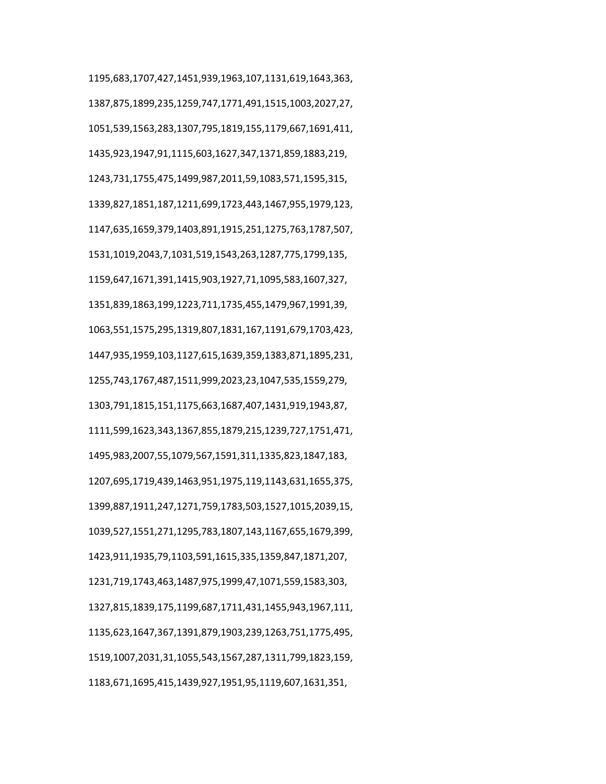1195,683,1707,427,1451,939,1963,107,1131,619,1643,363, 1387,875,1899,235,1259,747,1771,491,1515,1003,2027,27, 1051,539,1563,283,1307,795,1819,155,1179,667,1691,411, 1435,923,1947,91,1115,603,1627,347,1371,859,1883,219, 1243,731,1755,475,1499,987,2011,59,1083,571,1595,315, 1339,827,1851,187,1211,699,1723,443,1467,955,1979,123, 1147,635,1659,379,1403,891,1915,251,1275,763,1787,507, 1531,1019,2043,7,1031,519,1543,263,1287,775,1799,135, 1159,647,1671,391,1415,903,1927,71,1095,583,1607,327, 1351,839,1863,199,1223,711,1735,455,1479,967,1991,39, 1063,551,1575,295,1319,807,1831,167,1191,679,1703,423, 1447,935,1959,103,1127,615,1639,359,1383,871,1895,231, 1255,743,1767,487,1511,999,2023,23,1047,535,1559,279, 1303,791,1815,151,1175,663,1687,407,1431,919,1943,87, 1111,599,1623,343,1367,855,1879,215,1239,727,1751,471, 1495,983,2007,55,1079,567,1591,311,1335,823,1847,183, 1207,695,1719,439,1463,951,1975,119,1143,631,1655,375, 1399,887,1911,247,1271,759,1783,503,1527,1015,2039,15, 1039,527,1551,271,1295,783,1807,143,1167,655,1679,399, 1423,911,1935,79,1103,591,1615,335,1359,847,1871,207, 1231,719,1743,463,1487,975,1999,47,1071,559,1583,303, 1327,815,1839,175,1199,687,1711,431,1455,943,1967,111, 1135,623,1647,367,1391,879,1903,239,1263,751,1775,495, 1519,1007,2031,31,1055,543,1567,287,1311,799,1823,159, 1183,671,1695,415,1439,927,1951,95,1119,607,1631,351,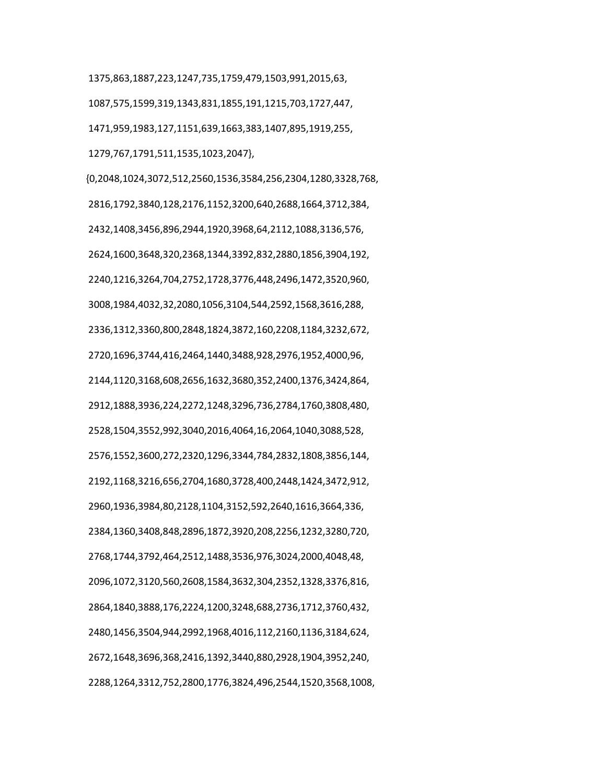1375,863,1887,223,1247,735,1759,479,1503,991,2015,63, 1087,575,1599,319,1343,831,1855,191,1215,703,1727,447, 1471,959,1983,127,1151,639,1663,383,1407,895,1919,255, 1279,767,1791,511,1535,1023,2047},

 {0,2048,1024,3072,512,2560,1536,3584,256,2304,1280,3328,768, 2816,1792,3840,128,2176,1152,3200,640,2688,1664,3712,384, 2432,1408,3456,896,2944,1920,3968,64,2112,1088,3136,576, 2624,1600,3648,320,2368,1344,3392,832,2880,1856,3904,192, 2240,1216,3264,704,2752,1728,3776,448,2496,1472,3520,960, 3008,1984,4032,32,2080,1056,3104,544,2592,1568,3616,288, 2336,1312,3360,800,2848,1824,3872,160,2208,1184,3232,672, 2720,1696,3744,416,2464,1440,3488,928,2976,1952,4000,96, 2144,1120,3168,608,2656,1632,3680,352,2400,1376,3424,864, 2912,1888,3936,224,2272,1248,3296,736,2784,1760,3808,480, 2528,1504,3552,992,3040,2016,4064,16,2064,1040,3088,528, 2576,1552,3600,272,2320,1296,3344,784,2832,1808,3856,144, 2192,1168,3216,656,2704,1680,3728,400,2448,1424,3472,912, 2960,1936,3984,80,2128,1104,3152,592,2640,1616,3664,336, 2384,1360,3408,848,2896,1872,3920,208,2256,1232,3280,720, 2768,1744,3792,464,2512,1488,3536,976,3024,2000,4048,48, 2096,1072,3120,560,2608,1584,3632,304,2352,1328,3376,816, 2864,1840,3888,176,2224,1200,3248,688,2736,1712,3760,432, 2480,1456,3504,944,2992,1968,4016,112,2160,1136,3184,624, 2672,1648,3696,368,2416,1392,3440,880,2928,1904,3952,240, 2288,1264,3312,752,2800,1776,3824,496,2544,1520,3568,1008,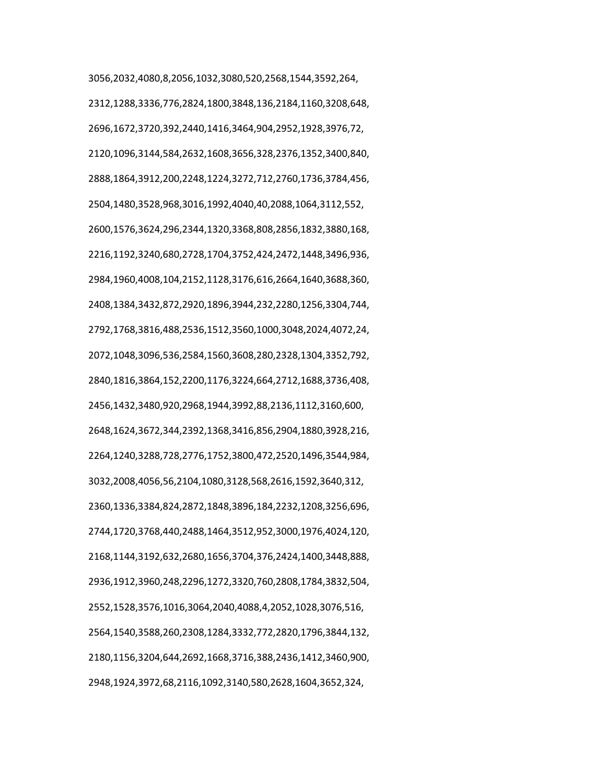3056,2032,4080,8,2056,1032,3080,520,2568,1544,3592,264, 2312,1288,3336,776,2824,1800,3848,136,2184,1160,3208,648, 2696,1672,3720,392,2440,1416,3464,904,2952,1928,3976,72, 2120,1096,3144,584,2632,1608,3656,328,2376,1352,3400,840, 2888,1864,3912,200,2248,1224,3272,712,2760,1736,3784,456, 2504,1480,3528,968,3016,1992,4040,40,2088,1064,3112,552, 2600,1576,3624,296,2344,1320,3368,808,2856,1832,3880,168, 2216,1192,3240,680,2728,1704,3752,424,2472,1448,3496,936, 2984,1960,4008,104,2152,1128,3176,616,2664,1640,3688,360, 2408,1384,3432,872,2920,1896,3944,232,2280,1256,3304,744, 2792,1768,3816,488,2536,1512,3560,1000,3048,2024,4072,24, 2072,1048,3096,536,2584,1560,3608,280,2328,1304,3352,792, 2840,1816,3864,152,2200,1176,3224,664,2712,1688,3736,408, 2456,1432,3480,920,2968,1944,3992,88,2136,1112,3160,600, 2648,1624,3672,344,2392,1368,3416,856,2904,1880,3928,216, 2264,1240,3288,728,2776,1752,3800,472,2520,1496,3544,984, 3032,2008,4056,56,2104,1080,3128,568,2616,1592,3640,312, 2360,1336,3384,824,2872,1848,3896,184,2232,1208,3256,696, 2744,1720,3768,440,2488,1464,3512,952,3000,1976,4024,120, 2168,1144,3192,632,2680,1656,3704,376,2424,1400,3448,888, 2936,1912,3960,248,2296,1272,3320,760,2808,1784,3832,504, 2552,1528,3576,1016,3064,2040,4088,4,2052,1028,3076,516, 2564,1540,3588,260,2308,1284,3332,772,2820,1796,3844,132, 2180,1156,3204,644,2692,1668,3716,388,2436,1412,3460,900, 2948,1924,3972,68,2116,1092,3140,580,2628,1604,3652,324,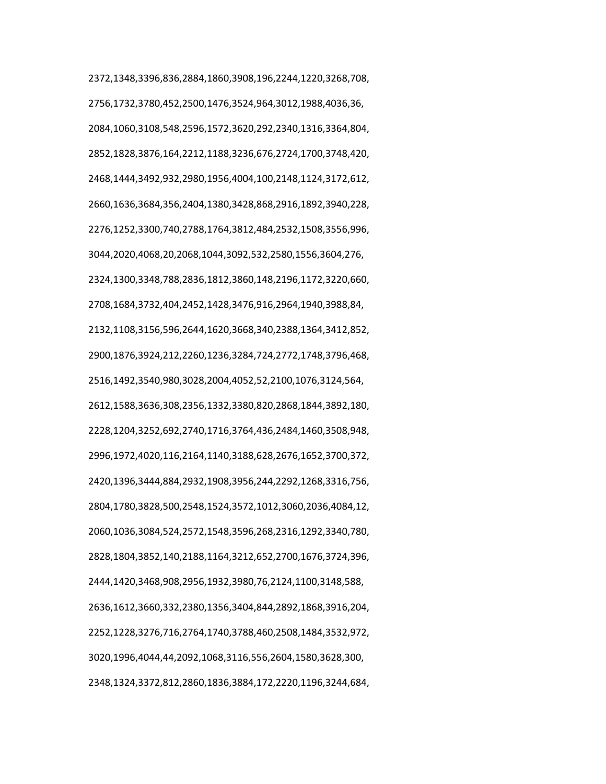2372,1348,3396,836,2884,1860,3908,196,2244,1220,3268,708, 2756,1732,3780,452,2500,1476,3524,964,3012,1988,4036,36, 2084,1060,3108,548,2596,1572,3620,292,2340,1316,3364,804, 2852,1828,3876,164,2212,1188,3236,676,2724,1700,3748,420, 2468,1444,3492,932,2980,1956,4004,100,2148,1124,3172,612, 2660,1636,3684,356,2404,1380,3428,868,2916,1892,3940,228, 2276,1252,3300,740,2788,1764,3812,484,2532,1508,3556,996, 3044,2020,4068,20,2068,1044,3092,532,2580,1556,3604,276, 2324,1300,3348,788,2836,1812,3860,148,2196,1172,3220,660, 2708,1684,3732,404,2452,1428,3476,916,2964,1940,3988,84, 2132,1108,3156,596,2644,1620,3668,340,2388,1364,3412,852, 2900,1876,3924,212,2260,1236,3284,724,2772,1748,3796,468, 2516,1492,3540,980,3028,2004,4052,52,2100,1076,3124,564, 2612,1588,3636,308,2356,1332,3380,820,2868,1844,3892,180, 2228,1204,3252,692,2740,1716,3764,436,2484,1460,3508,948, 2996,1972,4020,116,2164,1140,3188,628,2676,1652,3700,372, 2420,1396,3444,884,2932,1908,3956,244,2292,1268,3316,756, 2804,1780,3828,500,2548,1524,3572,1012,3060,2036,4084,12, 2060,1036,3084,524,2572,1548,3596,268,2316,1292,3340,780, 2828,1804,3852,140,2188,1164,3212,652,2700,1676,3724,396, 2444,1420,3468,908,2956,1932,3980,76,2124,1100,3148,588, 2636,1612,3660,332,2380,1356,3404,844,2892,1868,3916,204, 2252,1228,3276,716,2764,1740,3788,460,2508,1484,3532,972, 3020,1996,4044,44,2092,1068,3116,556,2604,1580,3628,300, 2348,1324,3372,812,2860,1836,3884,172,2220,1196,3244,684,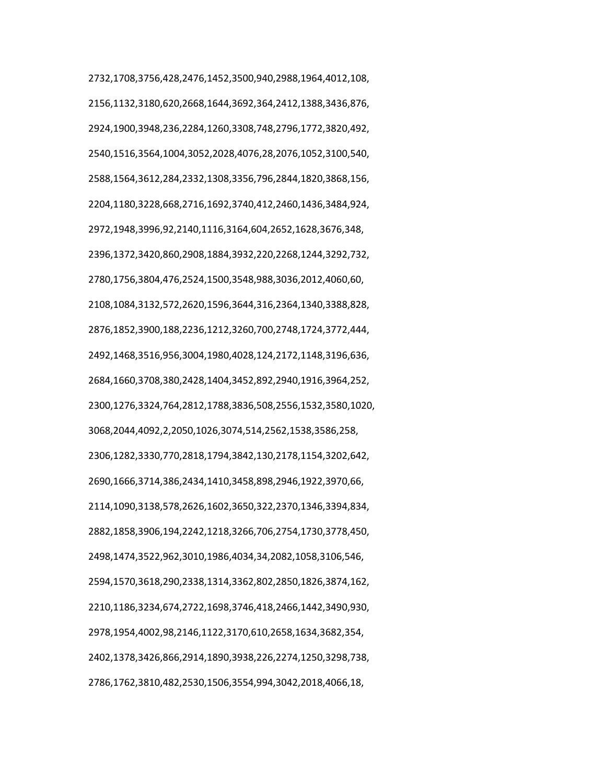2732,1708,3756,428,2476,1452,3500,940,2988,1964,4012,108, 2156,1132,3180,620,2668,1644,3692,364,2412,1388,3436,876, 2924,1900,3948,236,2284,1260,3308,748,2796,1772,3820,492, 2540,1516,3564,1004,3052,2028,4076,28,2076,1052,3100,540, 2588,1564,3612,284,2332,1308,3356,796,2844,1820,3868,156, 2204,1180,3228,668,2716,1692,3740,412,2460,1436,3484,924, 2972,1948,3996,92,2140,1116,3164,604,2652,1628,3676,348, 2396,1372,3420,860,2908,1884,3932,220,2268,1244,3292,732, 2780,1756,3804,476,2524,1500,3548,988,3036,2012,4060,60, 2108,1084,3132,572,2620,1596,3644,316,2364,1340,3388,828, 2876,1852,3900,188,2236,1212,3260,700,2748,1724,3772,444, 2492,1468,3516,956,3004,1980,4028,124,2172,1148,3196,636, 2684,1660,3708,380,2428,1404,3452,892,2940,1916,3964,252, 2300,1276,3324,764,2812,1788,3836,508,2556,1532,3580,1020, 3068,2044,4092,2,2050,1026,3074,514,2562,1538,3586,258, 2306,1282,3330,770,2818,1794,3842,130,2178,1154,3202,642, 2690,1666,3714,386,2434,1410,3458,898,2946,1922,3970,66, 2114,1090,3138,578,2626,1602,3650,322,2370,1346,3394,834, 2882,1858,3906,194,2242,1218,3266,706,2754,1730,3778,450, 2498,1474,3522,962,3010,1986,4034,34,2082,1058,3106,546, 2594,1570,3618,290,2338,1314,3362,802,2850,1826,3874,162, 2210,1186,3234,674,2722,1698,3746,418,2466,1442,3490,930, 2978,1954,4002,98,2146,1122,3170,610,2658,1634,3682,354, 2402,1378,3426,866,2914,1890,3938,226,2274,1250,3298,738, 2786,1762,3810,482,2530,1506,3554,994,3042,2018,4066,18,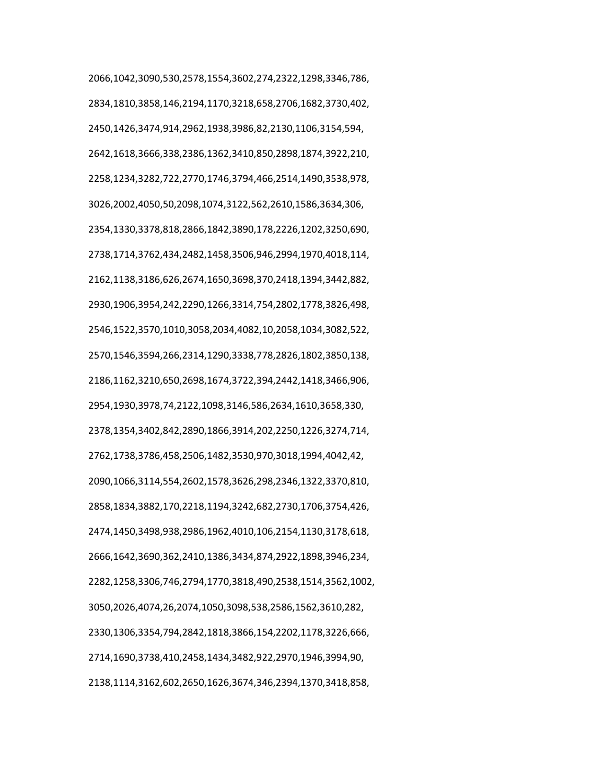2066,1042,3090,530,2578,1554,3602,274,2322,1298,3346,786, 2834,1810,3858,146,2194,1170,3218,658,2706,1682,3730,402, 2450,1426,3474,914,2962,1938,3986,82,2130,1106,3154,594, 2642,1618,3666,338,2386,1362,3410,850,2898,1874,3922,210, 2258,1234,3282,722,2770,1746,3794,466,2514,1490,3538,978, 3026,2002,4050,50,2098,1074,3122,562,2610,1586,3634,306, 2354,1330,3378,818,2866,1842,3890,178,2226,1202,3250,690, 2738,1714,3762,434,2482,1458,3506,946,2994,1970,4018,114, 2162,1138,3186,626,2674,1650,3698,370,2418,1394,3442,882, 2930,1906,3954,242,2290,1266,3314,754,2802,1778,3826,498, 2546,1522,3570,1010,3058,2034,4082,10,2058,1034,3082,522, 2570,1546,3594,266,2314,1290,3338,778,2826,1802,3850,138, 2186,1162,3210,650,2698,1674,3722,394,2442,1418,3466,906, 2954,1930,3978,74,2122,1098,3146,586,2634,1610,3658,330, 2378,1354,3402,842,2890,1866,3914,202,2250,1226,3274,714, 2762,1738,3786,458,2506,1482,3530,970,3018,1994,4042,42, 2090,1066,3114,554,2602,1578,3626,298,2346,1322,3370,810, 2858,1834,3882,170,2218,1194,3242,682,2730,1706,3754,426, 2474,1450,3498,938,2986,1962,4010,106,2154,1130,3178,618, 2666,1642,3690,362,2410,1386,3434,874,2922,1898,3946,234, 2282,1258,3306,746,2794,1770,3818,490,2538,1514,3562,1002, 3050,2026,4074,26,2074,1050,3098,538,2586,1562,3610,282, 2330,1306,3354,794,2842,1818,3866,154,2202,1178,3226,666, 2714,1690,3738,410,2458,1434,3482,922,2970,1946,3994,90, 2138,1114,3162,602,2650,1626,3674,346,2394,1370,3418,858,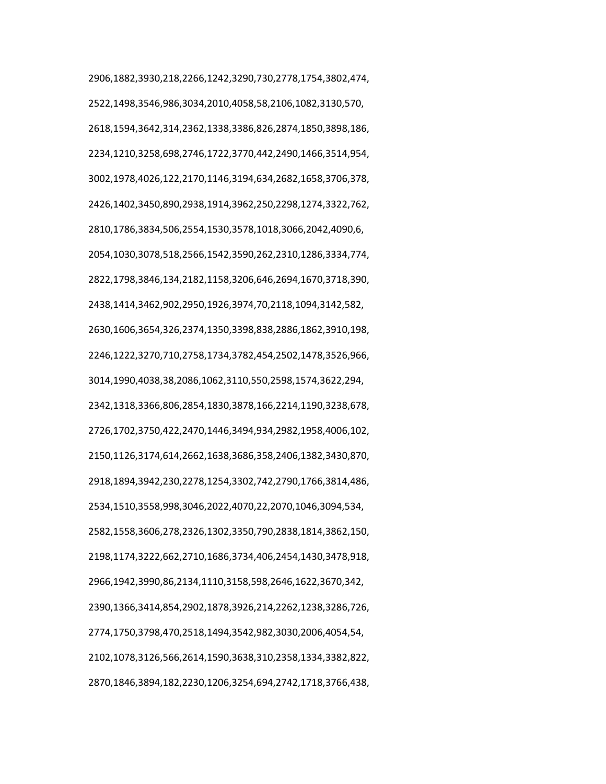2906,1882,3930,218,2266,1242,3290,730,2778,1754,3802,474, 2522,1498,3546,986,3034,2010,4058,58,2106,1082,3130,570, 2618,1594,3642,314,2362,1338,3386,826,2874,1850,3898,186, 2234,1210,3258,698,2746,1722,3770,442,2490,1466,3514,954, 3002,1978,4026,122,2170,1146,3194,634,2682,1658,3706,378, 2426,1402,3450,890,2938,1914,3962,250,2298,1274,3322,762, 2810,1786,3834,506,2554,1530,3578,1018,3066,2042,4090,6, 2054,1030,3078,518,2566,1542,3590,262,2310,1286,3334,774, 2822,1798,3846,134,2182,1158,3206,646,2694,1670,3718,390, 2438,1414,3462,902,2950,1926,3974,70,2118,1094,3142,582, 2630,1606,3654,326,2374,1350,3398,838,2886,1862,3910,198, 2246,1222,3270,710,2758,1734,3782,454,2502,1478,3526,966, 3014,1990,4038,38,2086,1062,3110,550,2598,1574,3622,294, 2342,1318,3366,806,2854,1830,3878,166,2214,1190,3238,678, 2726,1702,3750,422,2470,1446,3494,934,2982,1958,4006,102, 2150,1126,3174,614,2662,1638,3686,358,2406,1382,3430,870, 2918,1894,3942,230,2278,1254,3302,742,2790,1766,3814,486, 2534,1510,3558,998,3046,2022,4070,22,2070,1046,3094,534, 2582,1558,3606,278,2326,1302,3350,790,2838,1814,3862,150, 2198,1174,3222,662,2710,1686,3734,406,2454,1430,3478,918, 2966,1942,3990,86,2134,1110,3158,598,2646,1622,3670,342, 2390,1366,3414,854,2902,1878,3926,214,2262,1238,3286,726, 2774,1750,3798,470,2518,1494,3542,982,3030,2006,4054,54, 2102,1078,3126,566,2614,1590,3638,310,2358,1334,3382,822, 2870,1846,3894,182,2230,1206,3254,694,2742,1718,3766,438,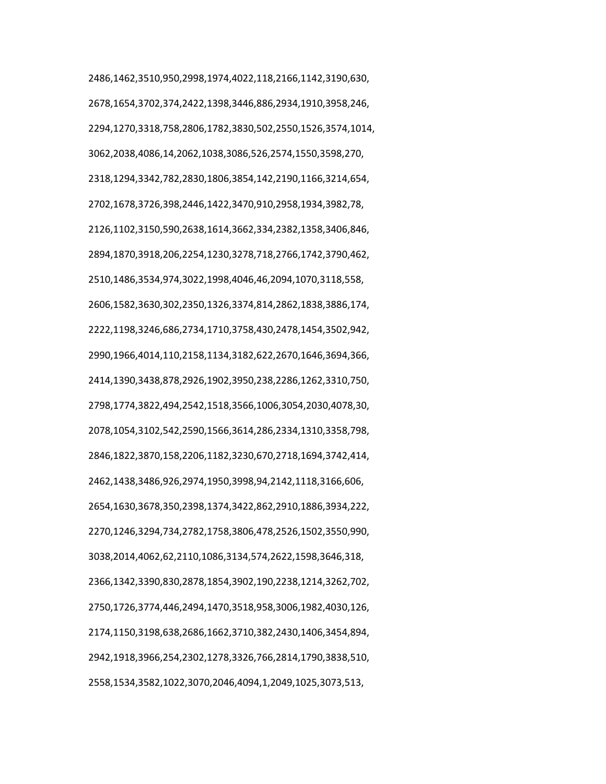2486,1462,3510,950,2998,1974,4022,118,2166,1142,3190,630, 2678,1654,3702,374,2422,1398,3446,886,2934,1910,3958,246, 2294,1270,3318,758,2806,1782,3830,502,2550,1526,3574,1014, 3062,2038,4086,14,2062,1038,3086,526,2574,1550,3598,270, 2318,1294,3342,782,2830,1806,3854,142,2190,1166,3214,654, 2702,1678,3726,398,2446,1422,3470,910,2958,1934,3982,78, 2126,1102,3150,590,2638,1614,3662,334,2382,1358,3406,846, 2894,1870,3918,206,2254,1230,3278,718,2766,1742,3790,462, 2510,1486,3534,974,3022,1998,4046,46,2094,1070,3118,558, 2606,1582,3630,302,2350,1326,3374,814,2862,1838,3886,174, 2222,1198,3246,686,2734,1710,3758,430,2478,1454,3502,942, 2990,1966,4014,110,2158,1134,3182,622,2670,1646,3694,366, 2414,1390,3438,878,2926,1902,3950,238,2286,1262,3310,750, 2798,1774,3822,494,2542,1518,3566,1006,3054,2030,4078,30, 2078,1054,3102,542,2590,1566,3614,286,2334,1310,3358,798, 2846,1822,3870,158,2206,1182,3230,670,2718,1694,3742,414, 2462,1438,3486,926,2974,1950,3998,94,2142,1118,3166,606, 2654,1630,3678,350,2398,1374,3422,862,2910,1886,3934,222, 2270,1246,3294,734,2782,1758,3806,478,2526,1502,3550,990, 3038,2014,4062,62,2110,1086,3134,574,2622,1598,3646,318, 2366,1342,3390,830,2878,1854,3902,190,2238,1214,3262,702, 2750,1726,3774,446,2494,1470,3518,958,3006,1982,4030,126, 2174,1150,3198,638,2686,1662,3710,382,2430,1406,3454,894, 2942,1918,3966,254,2302,1278,3326,766,2814,1790,3838,510, 2558,1534,3582,1022,3070,2046,4094,1,2049,1025,3073,513,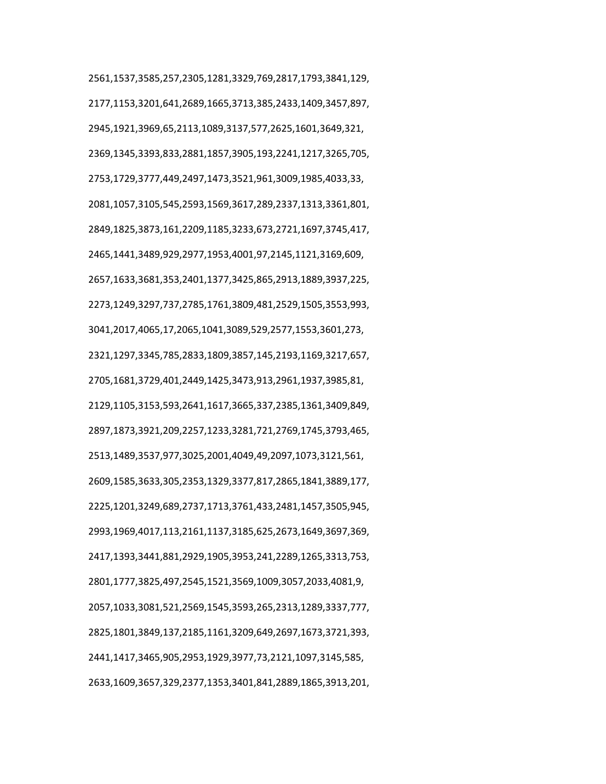2561,1537,3585,257,2305,1281,3329,769,2817,1793,3841,129, 2177,1153,3201,641,2689,1665,3713,385,2433,1409,3457,897, 2945,1921,3969,65,2113,1089,3137,577,2625,1601,3649,321, 2369,1345,3393,833,2881,1857,3905,193,2241,1217,3265,705, 2753,1729,3777,449,2497,1473,3521,961,3009,1985,4033,33, 2081,1057,3105,545,2593,1569,3617,289,2337,1313,3361,801, 2849,1825,3873,161,2209,1185,3233,673,2721,1697,3745,417, 2465,1441,3489,929,2977,1953,4001,97,2145,1121,3169,609, 2657,1633,3681,353,2401,1377,3425,865,2913,1889,3937,225, 2273,1249,3297,737,2785,1761,3809,481,2529,1505,3553,993, 3041,2017,4065,17,2065,1041,3089,529,2577,1553,3601,273, 2321,1297,3345,785,2833,1809,3857,145,2193,1169,3217,657, 2705,1681,3729,401,2449,1425,3473,913,2961,1937,3985,81, 2129,1105,3153,593,2641,1617,3665,337,2385,1361,3409,849, 2897,1873,3921,209,2257,1233,3281,721,2769,1745,3793,465, 2513,1489,3537,977,3025,2001,4049,49,2097,1073,3121,561, 2609,1585,3633,305,2353,1329,3377,817,2865,1841,3889,177, 2225,1201,3249,689,2737,1713,3761,433,2481,1457,3505,945, 2993,1969,4017,113,2161,1137,3185,625,2673,1649,3697,369, 2417,1393,3441,881,2929,1905,3953,241,2289,1265,3313,753, 2801,1777,3825,497,2545,1521,3569,1009,3057,2033,4081,9, 2057,1033,3081,521,2569,1545,3593,265,2313,1289,3337,777, 2825,1801,3849,137,2185,1161,3209,649,2697,1673,3721,393, 2441,1417,3465,905,2953,1929,3977,73,2121,1097,3145,585, 2633,1609,3657,329,2377,1353,3401,841,2889,1865,3913,201,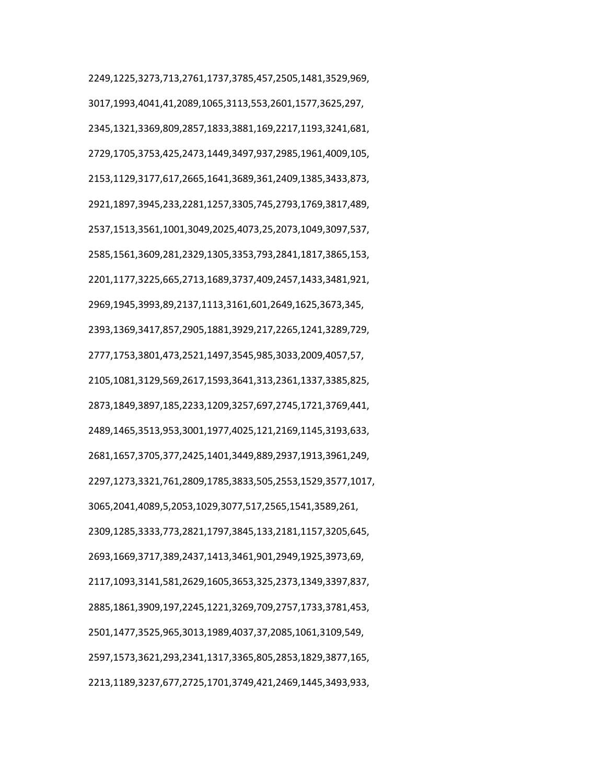2249,1225,3273,713,2761,1737,3785,457,2505,1481,3529,969, 3017,1993,4041,41,2089,1065,3113,553,2601,1577,3625,297, 2345,1321,3369,809,2857,1833,3881,169,2217,1193,3241,681, 2729,1705,3753,425,2473,1449,3497,937,2985,1961,4009,105, 2153,1129,3177,617,2665,1641,3689,361,2409,1385,3433,873, 2921,1897,3945,233,2281,1257,3305,745,2793,1769,3817,489, 2537,1513,3561,1001,3049,2025,4073,25,2073,1049,3097,537, 2585,1561,3609,281,2329,1305,3353,793,2841,1817,3865,153, 2201,1177,3225,665,2713,1689,3737,409,2457,1433,3481,921, 2969,1945,3993,89,2137,1113,3161,601,2649,1625,3673,345, 2393,1369,3417,857,2905,1881,3929,217,2265,1241,3289,729, 2777,1753,3801,473,2521,1497,3545,985,3033,2009,4057,57, 2105,1081,3129,569,2617,1593,3641,313,2361,1337,3385,825, 2873,1849,3897,185,2233,1209,3257,697,2745,1721,3769,441, 2489,1465,3513,953,3001,1977,4025,121,2169,1145,3193,633, 2681,1657,3705,377,2425,1401,3449,889,2937,1913,3961,249, 2297,1273,3321,761,2809,1785,3833,505,2553,1529,3577,1017, 3065,2041,4089,5,2053,1029,3077,517,2565,1541,3589,261, 2309,1285,3333,773,2821,1797,3845,133,2181,1157,3205,645, 2693,1669,3717,389,2437,1413,3461,901,2949,1925,3973,69, 2117,1093,3141,581,2629,1605,3653,325,2373,1349,3397,837, 2885,1861,3909,197,2245,1221,3269,709,2757,1733,3781,453, 2501,1477,3525,965,3013,1989,4037,37,2085,1061,3109,549, 2597,1573,3621,293,2341,1317,3365,805,2853,1829,3877,165, 2213,1189,3237,677,2725,1701,3749,421,2469,1445,3493,933,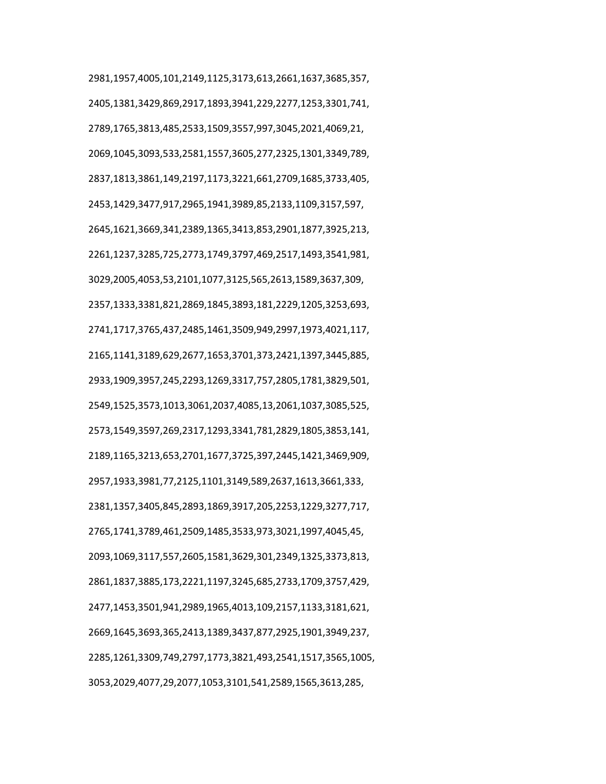2981,1957,4005,101,2149,1125,3173,613,2661,1637,3685,357, 2405,1381,3429,869,2917,1893,3941,229,2277,1253,3301,741, 2789,1765,3813,485,2533,1509,3557,997,3045,2021,4069,21, 2069,1045,3093,533,2581,1557,3605,277,2325,1301,3349,789, 2837,1813,3861,149,2197,1173,3221,661,2709,1685,3733,405, 2453,1429,3477,917,2965,1941,3989,85,2133,1109,3157,597, 2645,1621,3669,341,2389,1365,3413,853,2901,1877,3925,213, 2261,1237,3285,725,2773,1749,3797,469,2517,1493,3541,981, 3029,2005,4053,53,2101,1077,3125,565,2613,1589,3637,309, 2357,1333,3381,821,2869,1845,3893,181,2229,1205,3253,693, 2741,1717,3765,437,2485,1461,3509,949,2997,1973,4021,117, 2165,1141,3189,629,2677,1653,3701,373,2421,1397,3445,885, 2933,1909,3957,245,2293,1269,3317,757,2805,1781,3829,501, 2549,1525,3573,1013,3061,2037,4085,13,2061,1037,3085,525, 2573,1549,3597,269,2317,1293,3341,781,2829,1805,3853,141, 2189,1165,3213,653,2701,1677,3725,397,2445,1421,3469,909, 2957,1933,3981,77,2125,1101,3149,589,2637,1613,3661,333, 2381,1357,3405,845,2893,1869,3917,205,2253,1229,3277,717, 2765,1741,3789,461,2509,1485,3533,973,3021,1997,4045,45, 2093,1069,3117,557,2605,1581,3629,301,2349,1325,3373,813, 2861,1837,3885,173,2221,1197,3245,685,2733,1709,3757,429, 2477,1453,3501,941,2989,1965,4013,109,2157,1133,3181,621, 2669,1645,3693,365,2413,1389,3437,877,2925,1901,3949,237, 2285,1261,3309,749,2797,1773,3821,493,2541,1517,3565,1005, 3053,2029,4077,29,2077,1053,3101,541,2589,1565,3613,285,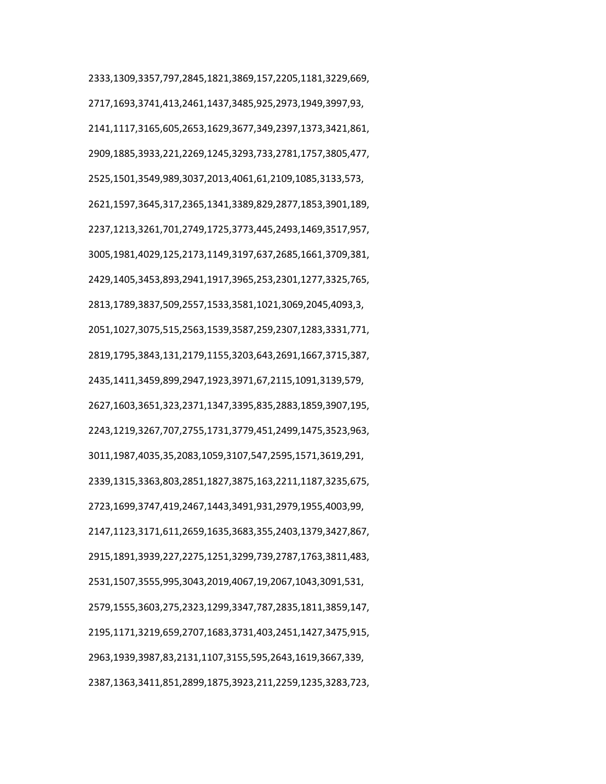2333,1309,3357,797,2845,1821,3869,157,2205,1181,3229,669, 2717,1693,3741,413,2461,1437,3485,925,2973,1949,3997,93, 2141,1117,3165,605,2653,1629,3677,349,2397,1373,3421,861, 2909,1885,3933,221,2269,1245,3293,733,2781,1757,3805,477, 2525,1501,3549,989,3037,2013,4061,61,2109,1085,3133,573, 2621,1597,3645,317,2365,1341,3389,829,2877,1853,3901,189, 2237,1213,3261,701,2749,1725,3773,445,2493,1469,3517,957, 3005,1981,4029,125,2173,1149,3197,637,2685,1661,3709,381, 2429,1405,3453,893,2941,1917,3965,253,2301,1277,3325,765, 2813,1789,3837,509,2557,1533,3581,1021,3069,2045,4093,3, 2051,1027,3075,515,2563,1539,3587,259,2307,1283,3331,771, 2819,1795,3843,131,2179,1155,3203,643,2691,1667,3715,387, 2435,1411,3459,899,2947,1923,3971,67,2115,1091,3139,579, 2627,1603,3651,323,2371,1347,3395,835,2883,1859,3907,195, 2243,1219,3267,707,2755,1731,3779,451,2499,1475,3523,963, 3011,1987,4035,35,2083,1059,3107,547,2595,1571,3619,291, 2339,1315,3363,803,2851,1827,3875,163,2211,1187,3235,675, 2723,1699,3747,419,2467,1443,3491,931,2979,1955,4003,99, 2147,1123,3171,611,2659,1635,3683,355,2403,1379,3427,867, 2915,1891,3939,227,2275,1251,3299,739,2787,1763,3811,483, 2531,1507,3555,995,3043,2019,4067,19,2067,1043,3091,531, 2579,1555,3603,275,2323,1299,3347,787,2835,1811,3859,147, 2195,1171,3219,659,2707,1683,3731,403,2451,1427,3475,915, 2963,1939,3987,83,2131,1107,3155,595,2643,1619,3667,339, 2387,1363,3411,851,2899,1875,3923,211,2259,1235,3283,723,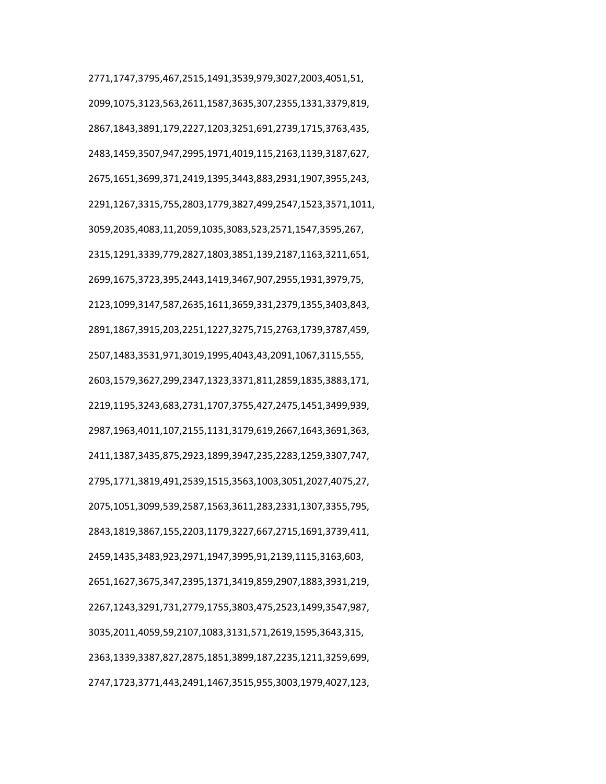2771,1747,3795,467,2515,1491,3539,979,3027,2003,4051,51, 2099,1075,3123,563,2611,1587,3635,307,2355,1331,3379,819, 2867,1843,3891,179,2227,1203,3251,691,2739,1715,3763,435, 2483,1459,3507,947,2995,1971,4019,115,2163,1139,3187,627, 2675,1651,3699,371,2419,1395,3443,883,2931,1907,3955,243, 2291,1267,3315,755,2803,1779,3827,499,2547,1523,3571,1011, 3059,2035,4083,11,2059,1035,3083,523,2571,1547,3595,267, 2315,1291,3339,779,2827,1803,3851,139,2187,1163,3211,651, 2699,1675,3723,395,2443,1419,3467,907,2955,1931,3979,75, 2123,1099,3147,587,2635,1611,3659,331,2379,1355,3403,843, 2891,1867,3915,203,2251,1227,3275,715,2763,1739,3787,459, 2507,1483,3531,971,3019,1995,4043,43,2091,1067,3115,555, 2603,1579,3627,299,2347,1323,3371,811,2859,1835,3883,171, 2219,1195,3243,683,2731,1707,3755,427,2475,1451,3499,939, 2987,1963,4011,107,2155,1131,3179,619,2667,1643,3691,363, 2411,1387,3435,875,2923,1899,3947,235,2283,1259,3307,747, 2795,1771,3819,491,2539,1515,3563,1003,3051,2027,4075,27, 2075,1051,3099,539,2587,1563,3611,283,2331,1307,3355,795, 2843,1819,3867,155,2203,1179,3227,667,2715,1691,3739,411, 2459,1435,3483,923,2971,1947,3995,91,2139,1115,3163,603, 2651,1627,3675,347,2395,1371,3419,859,2907,1883,3931,219, 2267,1243,3291,731,2779,1755,3803,475,2523,1499,3547,987, 3035,2011,4059,59,2107,1083,3131,571,2619,1595,3643,315, 2363,1339,3387,827,2875,1851,3899,187,2235,1211,3259,699, 2747,1723,3771,443,2491,1467,3515,955,3003,1979,4027,123,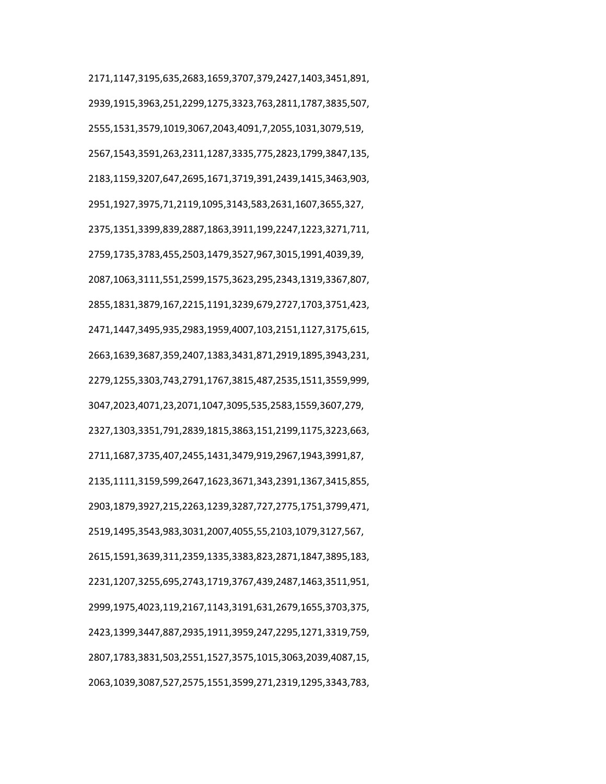2171,1147,3195,635,2683,1659,3707,379,2427,1403,3451,891, 2939,1915,3963,251,2299,1275,3323,763,2811,1787,3835,507, 2555,1531,3579,1019,3067,2043,4091,7,2055,1031,3079,519, 2567,1543,3591,263,2311,1287,3335,775,2823,1799,3847,135, 2183,1159,3207,647,2695,1671,3719,391,2439,1415,3463,903, 2951,1927,3975,71,2119,1095,3143,583,2631,1607,3655,327, 2375,1351,3399,839,2887,1863,3911,199,2247,1223,3271,711, 2759,1735,3783,455,2503,1479,3527,967,3015,1991,4039,39, 2087,1063,3111,551,2599,1575,3623,295,2343,1319,3367,807, 2855,1831,3879,167,2215,1191,3239,679,2727,1703,3751,423, 2471,1447,3495,935,2983,1959,4007,103,2151,1127,3175,615, 2663,1639,3687,359,2407,1383,3431,871,2919,1895,3943,231, 2279,1255,3303,743,2791,1767,3815,487,2535,1511,3559,999, 3047,2023,4071,23,2071,1047,3095,535,2583,1559,3607,279, 2327,1303,3351,791,2839,1815,3863,151,2199,1175,3223,663, 2711,1687,3735,407,2455,1431,3479,919,2967,1943,3991,87, 2135,1111,3159,599,2647,1623,3671,343,2391,1367,3415,855, 2903,1879,3927,215,2263,1239,3287,727,2775,1751,3799,471, 2519,1495,3543,983,3031,2007,4055,55,2103,1079,3127,567, 2615,1591,3639,311,2359,1335,3383,823,2871,1847,3895,183, 2231,1207,3255,695,2743,1719,3767,439,2487,1463,3511,951, 2999,1975,4023,119,2167,1143,3191,631,2679,1655,3703,375, 2423,1399,3447,887,2935,1911,3959,247,2295,1271,3319,759, 2807,1783,3831,503,2551,1527,3575,1015,3063,2039,4087,15, 2063,1039,3087,527,2575,1551,3599,271,2319,1295,3343,783,